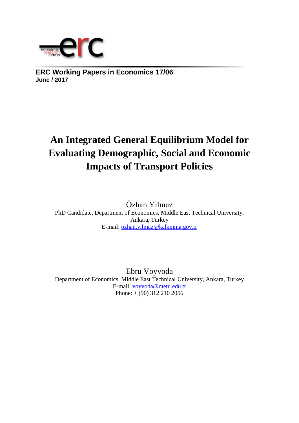

**ERC Working Papers in Economics 17/06 June / 2017**

# **An Integrated General Equilibrium Model for Evaluating Demographic, Social and Economic Impacts of Transport Policies**

Özhan Yılmaz PhD Candidate, Department of Economics, Middle East Technical University, Ankara, Turkey E-mail: [ozhan.yilmaz@kalkinma.gov.tr](mailto:ozhan.yilmaz@kalkinma.gov.tr)

Ebru Voyvoda Department of Economics, Middle East Technical University, Ankara, Turkey E-mail: [voyvoda@metu.edu.tr](mailto:voyvoda@metu.edu.tr) Phone: + (90) 312 210 2056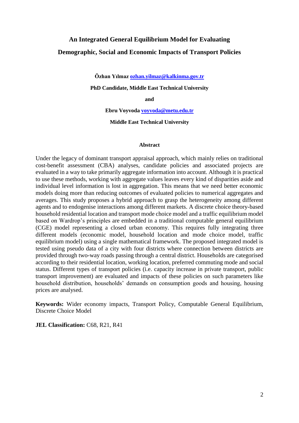# **An Integrated General Equilibrium Model for Evaluating Demographic, Social and Economic Impacts of Transport Policies**

**Özhan Yılmaz [ozhan.yilmaz@kalkinma.gov.tr](mailto:ozhan.yilmaz@kalkinma.gov.tr)**

**PhD Candidate, Middle East Technical University** 

**and** 

**Ebru Voyvoda [voyvoda@metu.edu.tr](mailto:voyvoda@metu.edu.tr)**

**Middle East Technical University** 

#### **Abstract**

Under the legacy of dominant transport appraisal approach, which mainly relies on traditional cost-benefit assessment (CBA) analyses, candidate policies and associated projects are evaluated in a way to take primarily aggregate information into account. Although it is practical to use these methods, working with aggregate values leaves every kind of disparities aside and individual level information is lost in aggregation. This means that we need better economic models doing more than reducing outcomes of evaluated policies to numerical aggregates and averages. This study proposes a hybrid approach to grasp the heterogeneity among different agents and to endogenise interactions among different markets. A discrete choice theory-based household residential location and transport mode choice model and a traffic equilibrium model based on Wardrop's principles are embedded in a traditional computable general equilibrium (CGE) model representing a closed urban economy. This requires fully integrating three different models (economic model, household location and mode choice model, traffic equilibrium model) using a single mathematical framework. The proposed integrated model is tested using pseudo data of a city with four districts where connection between districts are provided through two-way roads passing through a central district. Households are categorised according to their residential location, working location, preferred commuting mode and social status. Different types of transport policies (i.e. capacity increase in private transport, public transport improvement) are evaluated and impacts of these policies on such parameters like household distribution, households' demands on consumption goods and housing, housing prices are analysed.

**Keywords:** Wider economy impacts, Transport Policy, Computable General Equilibrium, Discrete Choice Model

**JEL Classification:** C68, R21, R41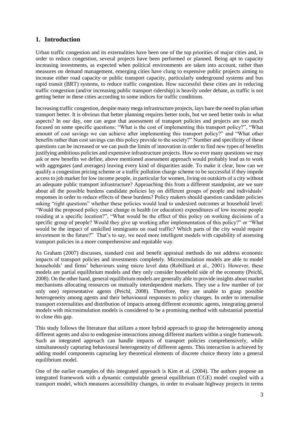# **1. Introduction**

Urban traffic congestion and its externalities have been one of the top priorities of major cities and, in order to reduce congestion, several projects have been performed or planned. Being apt to capacity increasing investments, as expected when political environments are taken into account, rather than measures on demand management, emerging cities have clung to expensive public projects aiming to increase either road capacity or public transport capacity, particularly underground systems and bus rapid transit (BRT) systems, to reduce traffic congestion. How successful these cities are in reducing traffic congestion (and/or increasing public transport ridership) is heavily under debate, as traffic is not getting better in these cities according to some indices for traffic conditions.

Increasing traffic congestion, despite many mega infrastructure projects, lays bare the need to plan urban transport better. It is obvious that better planning requires better tools, but we need better tools in what aspects? In our day, one can argue that assessment of transport policies and projects are too much focused on some specific questions: "What is the cost of implementing this transport policy?", "What amount of cost savings we can achieve after implementing this transport policy?" and "What other benefits rather than cost savings can this policy provide to the society?" Number and specificity of these questions can be increased or we can push the limits of innovation in order to find new types of benefits justifying ambitious policies and expensive infrastructure projects. How so ever many questions we may ask or new benefits we define, above mentioned assessment approach would probably lead us to work with aggregates (and averages) leaving every kind of disparities aside. To make it clear, how can we qualify a congestion pricing scheme or a traffic pollution charge scheme to be successful if they impede access to job market for low income people, in particular for women, living on outskirts of a city without an adequate public transport infrastructure? Approaching this from a different standpoint, are we sure about all the possible burdens candidate policies lay on different groups of people and individuals' responses in order to reduce effects of these burdens? Policy makers should question candidate policies asking "right questions" whether these policies would lead to undesired outcomes at household level: "Would the proposed policy cause change in health (or education) expenditures of low income people residing at a specific location?", "What would be the effect of this policy on working decisions of a specific group of people? Would they give up working after implementation of this policy?" or "What would be the impact of unskilled immigrants on road traffic? Which parts of the city would require investment in the future?" That's to say, we need more intelligent models with capability of assessing transport policies in a more comprehensive and equitable way.

As Graham (2007) discusses, standard cost and benefit appraisal methods do not address economic impacts of transport policies and investments completely. Microsimulation models are able to model households' and firms' behaviours using micro level data (Robilliard et al., 2001). However, these models are partial equilibrium models and they only consider household side of the economy (Peichl, 2008). On the other hand, general equilibrium models are generally able to provide insights about market mechanisms allocating resources on mutually interdependent markets. They use a few number of (or only one) representative agents (Peichl, 2008). Therefore, they are unable to grasp possible heterogeneity among agents and their behavioural responses to policy changes. In order to internalise transport externalities and distribution of impacts among different economic agents, integrating general models with microsimulation models is considered to be a promising method with substantial potential to close this gap.

This study follows the literature that utilizes a more hybrid approach to grasp the heterogeneity among different agents and also to endogenise interactions among different markets within a single framework. Such an integrated approach can handle impacts of transport policies comprehensively, while simultaneously capturing behavioural heterogeneity of different agents. This interaction is achieved by adding model components capturing key theoretical elements of discrete choice theory into a general equilibrium model.

One of the earlier examples of this integrated approach is Kim et al. (2004). The authors propose an integrated framework with a dynamic computable general equilibrium (CGE) model coupled with a transport model, which measures accessibility changes, in order to evaluate highway projects in terms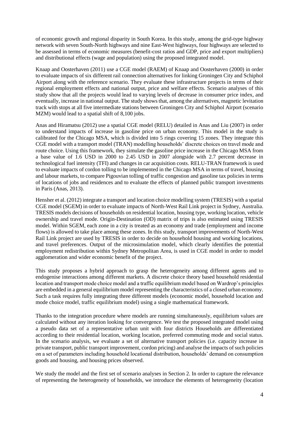of economic growth and regional disparity in South Korea. In this study, among the grid-type highway network with seven South-North highways and nine East-West highways, four highways are selected to be assessed in terms of economic measures (benefit-cost ratios and GDP, price and export multipliers) and distributional effects (wage and population) using the proposed integrated model.

Knaap and Oosterhaven (2011) use a CGE model (RAEM) of Knaap and Oosterhaven (2000) in order to evaluate impacts of six different rail connection alternatives for linking Groningen City and Schiphol Airport along with the reference scenario. They evaluate these infrastructure projects in terms of their regional employment effects and national output, price and welfare effects. Scenario analyses of this study show that all the projects would lead to varying levels of decrease in consumer price index, and eventually, increase in national output. The study shows that, among the alternatives, magnetic levitation track with stops at all five intermediate stations between Groningen City and Schiphol Airport (scenario MZM) would lead to a spatial shift of 8,100 jobs.

Anas and Hiramatsu (2012) use a spatial CGE model (RELU) detailed in Anas and Liu (2007) in order to understand impacts of increase in gasoline price on urban economy. This model in the study is calibrated for the Chicago MSA, which is divided into 5 rings covering 15 zones. They integrate this CGE model with a transport model (TRAN) modelling households' discrete choices on travel mode and route choice. Using this framework, they simulate the gasoline price increase in the Chicago MSA from a base value of 1.6 USD in 2000 to 2.45 USD in 2007 alongside with 2.7 percent decrease in technological fuel intensity (TFI) and changes in car acquisition costs. RELU-TRAN framework is used to evaluate impacts of cordon tolling to be implemented in the Chicago MSA in terms of travel, housing and labour markets, to compare Pigouvian tolling of traffic congestion and gasoline tax policies in terms of locations of jobs and residences and to evaluate the effects of planned public transport investments in Paris (Anas, 2013).

Hensher et al. (2012) integrate a transport and location choice modelling system (TRESIS) with a spatial CGE model (SGEM) in order to evaluate impacts of North-West Rail Link project in Sydney, Australia. TRESIS models decisions of households on residential location, housing type, working location, vehicle ownership and travel mode. Origin-Destination (OD) matrix of trips is also estimated using TRESIS model. Within SGEM, each zone in a city is treated as an economy and trade (employment and income flows) is allowed to take place among these zones. In this study, transport improvements of North-West Rail Link project are used by TRESIS in order to decide on household housing and working locations, and travel preferences. Output of the microsimulation model, which clearly identifies the potential employment redistribution within Sydney Metropolitan Area, is used in CGE model in order to model agglomeration and wider economic benefit of the project.

This study proposes a hybrid approach to grasp the heterogeneity among different agents and to endogenise interactions among different markets. A discrete choice theory based household residential location and transport mode choice model and a traffic equilibrium model based on Wardrop's principles are embedded in a general equilibrium model representing the characteristics of a closed urban economy. Such a task requires fully integrating three different models (economic model, household location and mode choice model, traffic equilibrium model) using a single mathematical framework.

Thanks to the integration procedure where models are running simultaneously, equilibrium values are calculated without any iteration looking for convergence. We test the proposed integrated model using a pseudo data set of a representative urban unit with four districts Households are differentiated according to their residential location, working location, preferred commuting mode and social status. In the scenario analysis, we evaluate a set of alternative transport policies (i.e. capacity increase in private transport, public transport improvement, cordon pricing) and analyse the impacts of such policies on a set of parameters including household locational distribution, households' demand on consumption goods and housing, and housing prices observed.

We study the model and the first set of scenario analyses in Section 2. In order to capture the relevance of representing the heterogeneity of households, we introduce the elements of heterogeneity (location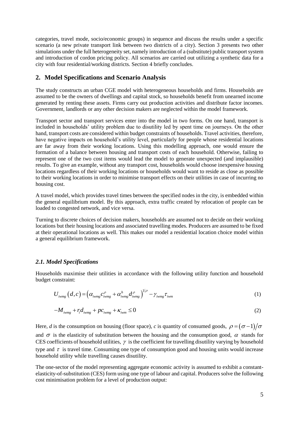categories, travel mode, socio/economic groups) in sequence and discuss the results under a specific scenario (a new private transport link between two districts of a city). Section 3 presents two other simulations under the full heterogeneity set, namely introduction of a (substitute) public transport system and introduction of cordon pricing policy. All scenarios are carried out utilizing a synthetic data for a city with four residential/working districts. Section 4 briefly concludes.

## **2. Model Specifications and Scenario Analysis**

The study constructs an urban CGE model with heterogeneous households and firms. Households are assumed to be the owners of dwellings and capital stock, so households benefit from unearned income generated by renting these assets. Firms carry out production activities and distribute factor incomes. Government, landlords or any other decision makers are neglected within the model framework.

Transport sector and transport services enter into the model in two forms. On one hand, transport is included in households' utility problem due to disutility led by spent time on journeys. On the other hand, transport costs are considered within budget constraints of households. Travel activities, therefore, have negative impacts on household's utility level, particularly for people whose residential locations are far away from their working locations. Using this modelling approach, one would ensure the formation of a balance between housing and transport costs of each household. Otherwise, failing to represent one of the two cost items would lead the model to generate unexpected (and implausible) results. To give an example, without any transport cost, households would choose inexpensive housing locations regardless of their working locations or households would want to reside as close as possible to their working locations in order to minimise transport effects on their utilities in case of incurring no housing cost.

A travel model, which provides travel times between the specified nodes in the city, is embedded within the general equilibrium model. By this approach, extra traffic created by relocation of people can be loaded to congested network, and vice versa.

Turning to discrete choices of decision makers, households are assumed not to decide on their working locations but their housing locations and associated travelling modes. Producers are assumed to be fixed at their operational locations as well. This makes our model a residential location choice model within a general equilibrium framework.

#### *2.1. Model Specifications*

Households maximise their utilities in accordance with the following utility function and household budget constraint:

$$
U_{i w m g} (d, c) = \left( \alpha_{i w m g} c_{i w m g}^{\rho} + \alpha_{i w m g}^{h} d_{i w m g}^{\rho} \right)^{1/\rho} - \gamma_{i w m g} \tau_{i w m}
$$
\n(1)

$$
-M_{i wmg} + r_i d_{i wmg} + p c_{i wmg} + \kappa_{i wm} \le 0
$$
\n<sup>(2)</sup>

Here, *d* is the consumption on housing (floor space), *c* is quantity of consumed goods,  $\rho = (\sigma - 1)/\sigma$ and  $\sigma$  is the elasticity of substitution between the housing and the consumption good,  $\alpha$  stands for CES coefficients of household utilities,  $\gamma$  is the coefficient for travelling disutility varying by household type and  $\tau$  is travel time. Consuming one type of consumption good and housing units would increase household utility while travelling causes disutility.

The one-sector of the model representing aggregate economic activity is assumed to exhibit a constantelasticity-of-substitution (CES) form using one type of labour and capital. Producers solve the following cost minimisation problem for a level of production output: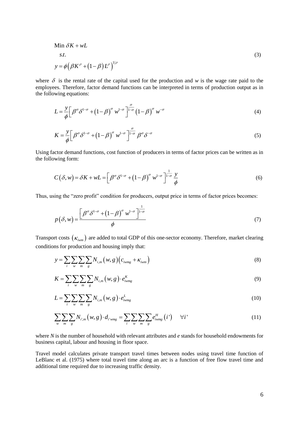Min 
$$
\delta K + wL
$$
  
\n*s.t.* (3)  
\n
$$
y = \phi \left( \beta K^{\rho} + (1 - \beta) L^{\rho} \right)^{1/\rho}
$$

where  $\delta$  is the rental rate of the capital used for the production and  $w$  is the wage rate paid to the employees. Therefore, factor demand functions can be interpreted in terms of production output as in the following equations:

$$
L = \frac{y}{\phi} \left[ \beta^{\sigma} \delta^{1-\sigma} + \left( 1 - \beta \right)^{\sigma} w^{1-\sigma} \right]_{\sigma}^{\sigma} \left( 1 - \beta \right)^{\sigma} w^{-\sigma}
$$
\n<sup>(4)</sup>

$$
K = \frac{y}{\phi} \left[ \beta^{\sigma} \delta^{1-\sigma} + \left( 1 - \beta \right)^{\sigma} w^{1-\sigma} \right]_{-\sigma}^{\sigma} \beta^{\sigma} \delta^{-\sigma}
$$
 (5)

Using factor demand functions, cost function of producers in terms of factor prices can be written as in the following form:

$$
C(\delta, w) = \delta K + wL = \left[\beta^{\sigma} \delta^{1-\sigma} + \left(1-\beta\right)^{\sigma} w^{1-\sigma}\right]^{\frac{1}{1-\sigma}} \frac{y}{\phi}
$$
(6)

Thus, using the "zero profit" condition for producers, output price in terms of factor prices becomes:

$$
p(\delta, w) = \frac{\left[\beta^{\sigma} \delta^{1-\sigma} + \left(1-\beta\right)^{\sigma} w^{1-\sigma}\right]^{\frac{1}{1-\sigma}}}{\phi} \tag{7}
$$

Transport costs  $(\kappa_{iwm})$  are added to total GDP of this one-sector economy. Therefore, market clearing conditions for production and housing imply that:

$$
y = \sum_{i} \sum_{w} \sum_{m} \sum_{g} N_{i,m} (w, g) (c_{i w m g} + \kappa_{i w m})
$$
(8)

$$
K = \sum_{i} \sum_{w} \sum_{m} \sum_{g} N_{i,m} \left(w, g\right) \cdot e_{i w m g}^{K} \tag{9}
$$

$$
L = \sum_{i} \sum_{w} \sum_{m} \sum_{g} N_{i,m} \left( w, g \right) \cdot e_{i w m g}^{L}
$$
 (10)

$$
\sum_{w} \sum_{m} \sum_{g} N_{i',m} (w, g) \cdot d_{i'wmg} = \sum_{i} \sum_{w} \sum_{m} \sum_{g} e_{iwmg}^{H} (i') \qquad \forall i'
$$
 (11)

where *N* is the number of household with relevant attributes and *e* stands for household endowments for business capital, labour and housing in floor space.

Travel model calculates private transport travel times between nodes using travel time function of LeBlanc et al. (1975) where total travel time along an arc is a function of free flow travel time and additional time required due to increasing traffic density.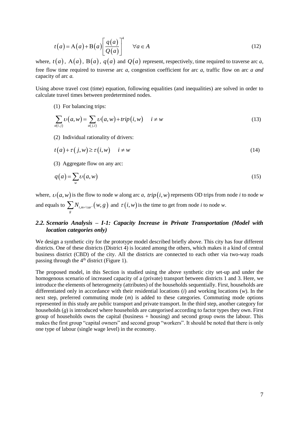$$
t(a) = A(a) + B(a) \left[ \frac{q(a)}{Q(a)} \right]^4 \quad \forall a \in A
$$
 (12)

where,  $t(a)$ ,  $A(a)$ ,  $B(a)$ ,  $q(a)$  and  $Q(a)$  represent, respectively, time required to traverse arc *a*, free flow time required to traverse arc *a,* congestion coefficient for arc *a,* traffic flow on arc *a and*  capacity of arc *a.* 

Using above travel cost (time) equation, following equalities (and inequalities) are solved in order to calculate travel times between predetermined nodes.

(1) For balancing trips:

$$
\sum_{a(i,j)} \upsilon(a,w) = \sum_{a(j,i)} \upsilon(a,w) + trip(i,w) \quad i \neq w \tag{13}
$$

(2) Individual rationality of drivers:

$$
t(a) + \tau(j, w) \ge \tau(i, w) \quad i \ne w \tag{14}
$$

(3) Aggregate flow on any arc:

$$
q(a) = \sum_{w} \upsilon(a, w) \tag{15}
$$

where,  $\upsilon(a,w)$  is the flow to node *w* along arc *a, trip*  $(i,w)$  represents OD trips from node *i* to node *w* and equals to  $\sum N^{}_{i,m='car'}(w,g)$ *g*  $\sum N_{i,m=car'}(w,g)$  and  $\tau(i,w)$  is the time to get from node *i* to node *w*.

# *2.2. Scenario Analysis – I-1: Capacity Increase in Private Transportation (Model with location categories only)*

We design a synthetic city for the prototype model described briefly above. This city has four different districts. One of these districts (District 4) is located among the others, which makes it a kind of central business district (CBD) of the city. All the districts are connected to each other via two-way roads passing through the  $4<sup>th</sup>$  district (Figure 1).

The proposed model, in this Section is studied using the above synthetic city set-up and under the homogenous scenario of increased capacity of a (private) transport between districts 1 and 3. Here, we introduce the elements of heterogeneity (attributes) of the households sequentially. First, households are differentiated only in accordance with their residential locations (*i*) and working locations (*w*). In the next step, preferred commuting mode (*m*) is added to these categories. Commuting mode options represented in this study are public transport and private transport. In the third step, another category for households (*g*) is introduced where households are categorised according to factor types they own. First group of households owns the capital (business + housing) and second group owns the labour. This makes the first group "capital owners" and second group "workers". It should be noted that there is only one type of labour (single wage level) in the economy.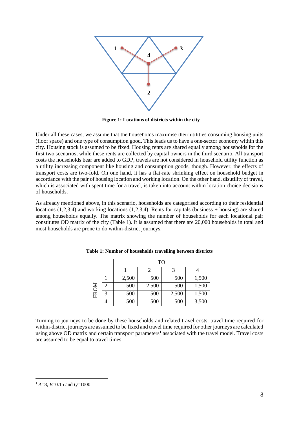

**Figure 1: Locations of districts within the city**

Under all these cases, we assume that the households maximise their utilities consuming housing units (floor space) and one type of consumption good. This leads us to have a one-sector economy within this city. Housing stock is assumed to be fixed. Housing rents are shared equally among households for the first two scenarios, while these rents are collected by capital owners in the third scenario. All transport costs the households bear are added to GDP, travels are not considered in household utility function as a utility increasing component like housing and consumption goods, though. However, the effects of transport costs are two-fold. On one hand, it has a flat-rate shrinking effect on household budget in accordance with the pair of housing location and working location. On the other hand, disutility of travel, which is associated with spent time for a travel, is taken into account within location choice decisions of households.

As already mentioned above, in this scenario, households are categorised according to their residential locations (1,2,3,4) and working locations (1,2,3,4). Rents for capitals (business + housing) are shared among households equally. The matrix showing the number of households for each locational pair constitutes OD matrix of the city (Table 1). It is assumed that there are 20,000 households in total and most households are prone to do within-district journeys.

|      |   |       | TO    |       |       |
|------|---|-------|-------|-------|-------|
|      |   |       |       |       |       |
|      |   | 2,500 | 500   | 500   | 1,500 |
|      | 2 | 500   | 2,500 | 500   | 1,500 |
| FROM | 3 | 500   | 500   | 2,500 | 1,500 |
|      |   | 500   | 500   | 500   | 3,500 |

**Table 1: Number of households travelling between districts**

Turning to journeys to be done by these households and related travel costs, travel time required for within-district journeys are assumed to be fixed and travel time required for other journeys are calculated using above OD matrix and certain transport parameters<sup>1</sup> associated with the travel model. Travel costs are assumed to be equal to travel times.

 $\overline{a}$ 

<sup>1</sup> *A*=8, *B*=0.15 and *Q*=1000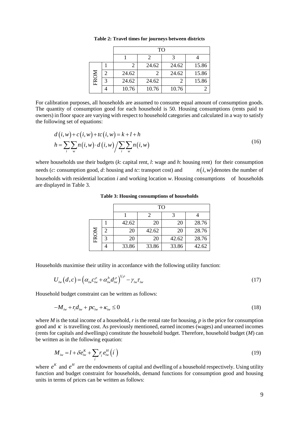|      | TO    |       |       |       |  |  |
|------|-------|-------|-------|-------|--|--|
|      |       |       |       |       |  |  |
|      |       | 24.62 | 24.62 | 15.86 |  |  |
|      | 24.62 |       | 24.62 | 15.86 |  |  |
| FROM | 24.62 | 24.62 |       | 15.86 |  |  |
|      | 10.76 | 10.76 | 10.76 |       |  |  |

**Table 2: Travel times for journeys between districts**

For calibration purposes, all households are assumed to consume equal amount of consumption goods. The quantity of consumption good for each household is 50. Housing consumptions (rents paid to owners) in floor space are varying with respect to household categories and calculated in a way to satisfy the following set of equations:

$$
d(i, w) + c(i, w) + tc(i, w) = k + l + h
$$
  
\n
$$
h = \sum_{i} \sum_{w} n(i, w) \cdot d(i, w) / \sum_{i} \sum_{w} n(i, w)
$$
 (16)

where households use their budgets (*k*: capital rent, *l*: wage and *h*: housing rent) for their consumption needs (*c*: consumption good, *d*: housing and *tc*: transport cost) and  $n(i, w)$  denotes the number of households with residential location *i* and working location *w*. Housing consumptions of households are displayed in Table 3.

**Table 3: Housing consumptions of households**

|      |   |       | TO    |       |       |
|------|---|-------|-------|-------|-------|
|      |   |       |       |       |       |
|      |   | 42.62 | 20    | 20    | 28.76 |
| FROM | 2 | 20    | 42.62 | 20    | 28.76 |
|      | 3 | 20    | 20    | 42.62 | 28.76 |
|      |   | 33.86 | 33.86 | 33.86 | 42.62 |

Households maximise their utility in accordance with the following utility function:

$$
U_{i w}(d, c) = \left(\alpha_{i w} c_{i w}^{\rho} + \alpha_{i w}^h d_{i w}^{\rho}\right)^{1/\rho} - \gamma_{i w} \tau_{i w}
$$
\n(17)

Household budget constraint can be written as follows:

$$
-M_{i\omega} + r_i d_{i\omega} + p c_{i\omega} + \kappa_{i\omega} \le 0
$$
\n<sup>(18)</sup>

where *M* is the total income of a household, *r* is the rental rate for housing, *p* is the price for consumption good and  $\kappa$  is travelling cost. As previously mentioned, earned incomes (wages) and unearned incomes (rents for capitals and dwellings) constitute the household budget. Therefore, household budget (*M*) can be written as in the following equation:

$$
M_{iw} = l + \delta e_{iw}^K + \sum_i r_i e_{iw}^H \left(i\right) \tag{19}
$$

where  $e^{K}$  and  $e^{H}$  are the endowments of capital and dwelling of a household respectively. Using utility function and budget constraint for households, demand functions for consumption good and housing units in terms of prices can be written as follows: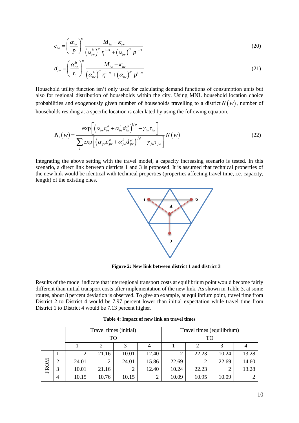$$
c_{iw} = \left(\frac{\alpha_{iw}}{p}\right)^{\sigma} \frac{M_{iw} - \kappa_{iw}}{\left(\alpha_{iw}^h\right)^{\sigma} r_i^{1-\sigma} + \left(\alpha_{iw}\right)^{\sigma} p^{1-\sigma}}
$$
(20)

$$
d_{iw} = \left(\frac{\alpha_{iw}^h}{r_i}\right)^{\sigma} \frac{M_{iw} - \kappa_{iw}}{\left(\alpha_{iw}^h\right)^{\sigma} r_i^{1-\sigma} + \left(\alpha_{iw}\right)^{\sigma} p^{1-\sigma}}
$$
(21)

Household utility function isn't only used for calculating demand functions of consumption units but also for regional distribution of households within the city. Using MNL household location choice probabilities and exogenously given number of households travelling to a district  $N(w)$ , number of households residing at a specific location is calculated by using the following equation.

$$
N_i(w) = \frac{\exp\left[\left(\alpha_{iw}c_{iw}^{\rho} + \alpha_{iw}^h d_{iw}^{\rho}\right)^{1/\rho} - \gamma_{iw}\tau_{iw}\right]}{\sum_j \exp\left[\left(\alpha_{jw}c_{jw}^{\rho} + \alpha_{jw}^h d_{jw}^{\rho}\right)^{1/\rho} - \gamma_{jw}\tau_{jw}\right]}N(w)
$$
(22)

Integrating the above setting with the travel model, a capacity increasing scenario is tested. In this scenario, a direct link between districts 1 and 3 is proposed. It is assumed that technical properties of the new link would be identical with technical properties (properties affecting travel time, i.e. capacity, length) of the existing ones.



**Figure 2: New link between district 1 and district 3**

Results of the model indicate that interregional transport costs at equilibrium point would become fairly different than initial transport costs after implementation of the new link. As shown in Table 3, at some routes, about 8 percent deviation is observed. To give an example, at equilibrium point, travel time from District 2 to District 4 would be 7.97 percent lower than initial expectation while travel time from District 1 to District 4 would be 7.13 percent higher.

|      |                |       | Travel times (initial) |       |       | Travel times (equilibrium) |       |       |       |  |
|------|----------------|-------|------------------------|-------|-------|----------------------------|-------|-------|-------|--|
|      |                |       | TΟ                     |       |       |                            | TO    |       |       |  |
|      |                |       | っ                      | 2     |       |                            |       | 3     |       |  |
|      |                |       | 21.16                  | 10.01 | 12.40 | 2                          | 22.23 | 10.24 | 13.28 |  |
|      | $\overline{2}$ | 24.01 |                        | 24.01 | 15.86 | 22.69                      | ◠     | 22.69 | 14.60 |  |
| FROM | 3              | 10.01 | 21.16                  | ി     | 12.40 | 10.24                      | 22.23 |       | 13.28 |  |
|      | 4              | 10.15 | 10.76                  | 10.15 | 2     | 10.09                      | 10.95 | 10.09 |       |  |

|  |  |  | Table 4: Impact of new link on travel times |
|--|--|--|---------------------------------------------|
|--|--|--|---------------------------------------------|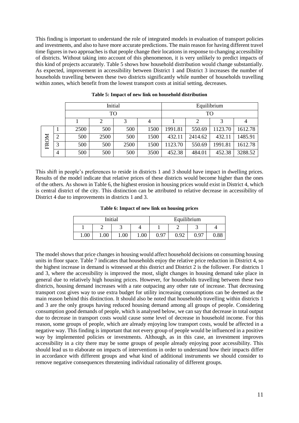This finding is important to understand the role of integrated models in evaluation of transport policies and investments, and also to have more accurate predictions. The main reason for having different travel time figures in two approaches is that people change their locations in response to changing accessibility of districts. Without taking into account of this phenomenon, it is very unlikely to predict impacts of this kind of projects accurately. Table 5 shows how household distribution would change substantially. As expected, improvement in accessibility between District 1 and District 3 increases the number of households travelling between these two districts significantly while number of households travelling within zones, which benefit from the lowest transport costs at initial setting, decreases.

|      |                |      |      | Initial |      | Equilibrium |         |         |         |
|------|----------------|------|------|---------|------|-------------|---------|---------|---------|
|      | TO             |      |      |         |      | TO          |         |         |         |
|      |                |      |      |         |      |             |         |         |         |
|      |                | 2500 | 500  | 500     | 1500 | 1991.81     | 550.69  | 1123.70 | 1612.78 |
|      | $\overline{2}$ | 500  | 2500 | 500     | 1500 | 432.11      | 2414.62 | 432.11  | 1485.91 |
| FROM | 3              | 500  | 500  | 2500    | 1500 | 1123.70     | 550.69  | 1991.81 | 1612.78 |
|      | 4              | 500  | 500  | 500     | 3500 | 452.38      | 484.01  | 452.38  | 3288.52 |

**Table 5: Impact of new link on household distribution**

This shift in people's preferences to reside in districts 1 and 3 should have impact in dwelling prices. Results of the model indicate that relative prices of these districts would become higher than the ones of the others. As shown in Table 6, the highest erosion in housing prices would exist in District 4, which is central district of the city. This distinction can be attributed to relative decrease in accessibility of District 4 due to improvements in districts 1 and 3.

**Table 6: Impact of new link on housing prices**

|      |      | Initial |      |      | Equilibrium |      |            |
|------|------|---------|------|------|-------------|------|------------|
|      |      |         |      |      |             | ັ    |            |
| 1.00 | 1.00 | 1.00    | 1.00 | 0.97 | 0.92        | 0.97 | $\rm 0.88$ |

The model shows that price changes in housing would affect household decisions on consuming housing units in floor space. Table 7 indicates that households enjoy the relative price reduction in District 4, so the highest increase in demand is witnessed at this district and District 2 is the follower. For districts 1 and 3, where the accessibility is improved the most, slight changes in housing demand take place in general due to relatively high housing prices. However, for households travelling between these two districts, housing demand increases with a rate outpacing any other rate of increase. That decreasing transport cost gives way to use extra budget for utility increasing consumptions can be deemed as the main reason behind this distinction. It should also be noted that households travelling within districts 1 and 3 are the only groups having reduced housing demand among all groups of people. Considering consumption good demands of people, which is analysed below, we can say that decrease in total output due to decrease in transport costs would cause some level of decrease in household income. For this reason, some groups of people, which are already enjoying low transport costs, would be affected in a negative way. This finding is important that not every group of people would be influenced in a positive way by implemented policies or investments. Although, as in this case, an investment improves accessibility in a city there may be some groups of people already enjoying poor accessibility. This should lead us to elaborate on impacts of interventions in order to understand how their impacts differ in accordance with different groups and what kind of additional instruments we should consider to remove negative consequences threatening individual rationality of different groups.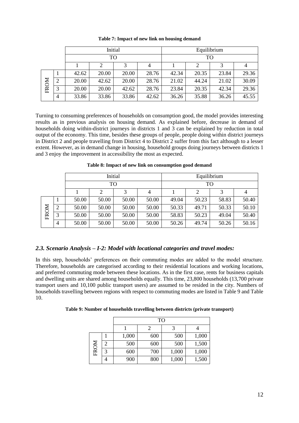|      |   |       | Initial |       |       | Equilibrium |       |       |       |
|------|---|-------|---------|-------|-------|-------------|-------|-------|-------|
|      |   |       | TО      |       |       | TO          |       |       |       |
|      |   |       | 2       |       |       |             |       |       |       |
|      |   | 42.62 | 20.00   | 20.00 | 28.76 | 42.34       | 20.35 | 23.84 | 29.36 |
| FROM | 2 | 20.00 | 42.62   | 20.00 | 28.76 | 21.02       | 44.24 | 21.02 | 30.09 |
|      | 3 | 20.00 | 20.00   | 42.62 | 28.76 | 23.84       | 20.35 | 42.34 | 29.36 |
|      | 4 | 33.86 | 33.86   | 33.86 | 42.62 | 36.26       | 35.88 | 36.26 | 45.55 |

**Table 7: Impact of new link on housing demand**

Turning to consuming preferences of households on consumption good, the model provides interesting results as in previous analysis on housing demand. As explained before, decrease in demand of households doing within-district journeys in districts 1 and 3 can be explained by reduction in total output of the economy. This time, besides these groups of people, people doing within district journeys in District 2 and people travelling from District 4 to District 2 suffer from this fact although to a lesser extent. However, as in demand change in housing, household groups doing journeys between districts 1 and 3 enjoy the improvement in accessibility the most as expected.

|      |                |       | Initial        |       |       | Equilibrium |       |       |       |  |
|------|----------------|-------|----------------|-------|-------|-------------|-------|-------|-------|--|
|      |                | TO    |                |       |       |             | TО    |       |       |  |
|      |                |       | $\overline{c}$ | 3     |       |             |       |       | 4     |  |
|      |                | 50.00 | 50.00          | 50.00 | 50.00 | 49.04       | 50.23 | 58.83 | 50.40 |  |
|      | $\overline{2}$ | 50.00 | 50.00          | 50.00 | 50.00 | 50.33       | 49.71 | 50.33 | 50.10 |  |
| FROM | 3              | 50.00 | 50.00          | 50.00 | 50.00 | 58.83       | 50.23 | 49.04 | 50.40 |  |
|      | $\overline{4}$ | 50.00 | 50.00          | 50.00 | 50.00 | 50.26       | 49.74 | 50.26 | 50.16 |  |

**Table 8: Impact of new link on consumption good demand**

# *2.3. Scenario Analysis – I-2: Model with locational categories and travel modes:*

In this step, households' preferences on their commuting modes are added to the model structure. Therefore, households are categorised according to their residential locations and working locations, and preferred commuting mode between these locations. As in the first case, rents for business capitals and dwelling units are shared among households equally. This time, 23,800 households (13,700 private transport users and 10,100 public transport users) are assumed to be resided in the city. Numbers of households travelling between regions with respect to commuting modes are listed in Table 9 and Table 10.

|  | Table 9: Number of households travelling between districts (private transport) |  |  |  |
|--|--------------------------------------------------------------------------------|--|--|--|
|  |                                                                                |  |  |  |

|      |   |       | <b>TO</b> |       |       |  |  |  |  |
|------|---|-------|-----------|-------|-------|--|--|--|--|
|      |   |       |           |       |       |  |  |  |  |
|      |   | 1,000 | 600       | 500   | 1,000 |  |  |  |  |
|      | 2 | 500   | 600       | 500   | 1,500 |  |  |  |  |
| FROM | 3 | 600   | 700       | 1,000 | 1,000 |  |  |  |  |
|      |   | 900   | 800       | 1,000 | 1,500 |  |  |  |  |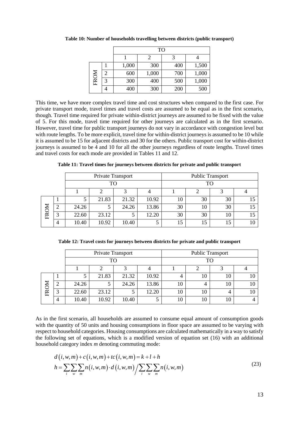|      |   | TO    |       |     |       |  |  |
|------|---|-------|-------|-----|-------|--|--|
|      |   |       |       | 3   |       |  |  |
|      |   | 1,000 | 300   | 400 | 1,500 |  |  |
|      | 2 | 600   | 1,000 | 700 | 1,000 |  |  |
| FROM | 3 | 300   | 400   | 500 | 1,000 |  |  |
|      |   | 400   | 300   | 200 | 500   |  |  |

**Table 10: Number of households travelling between districts (public transport)**

This time, we have more complex travel time and cost structures when compared to the first case. For private transport mode, travel times and travel costs are assumed to be equal as in the first scenario, though. Travel time required for private within-district journeys are assumed to be fixed with the value of 5. For this mode, travel time required for other journeys are calculated as in the first scenario. However, travel time for public transport journeys do not vary in accordance with congestion level but with route lengths. To be more explicit, travel time for within-district journeys is assumed to be 10 while it is assumed to be 15 for adjacent districts and 30 for the others. Public transport cost for within-district journeys is assumed to be 4 and 10 for all the other journeys regardless of route lengths. Travel times and travel costs for each mode are provided in Tables 11 and 12.

|      |        |       | Private Transport |       |       |    | <b>Public Transport</b> |    |    |
|------|--------|-------|-------------------|-------|-------|----|-------------------------|----|----|
|      |        |       | <b>TO</b>         |       |       |    | <b>TO</b>               |    |    |
|      | 2<br>∍ |       |                   |       |       |    |                         |    |    |
|      |        |       | 21.83             | 21.32 | 10.92 | 10 | 30                      | 30 | 15 |
|      | ി      | 24.26 |                   | 24.26 | 13.86 | 30 | 10                      | 30 | 15 |
| FROM | 3      | 22.60 | 23.12             |       | 12.20 | 30 | 30                      | 10 | 15 |
|      | 4      | 10.40 | 10.92             | 10.40 | 5     | 15 | 15                      | 15 | 10 |

**Table 11: Travel times for journeys between districts for private and public transport**

|  | Table 12: Travel costs for journeys between districts for private and public transport |  |  |
|--|----------------------------------------------------------------------------------------|--|--|
|  |                                                                                        |  |  |

|      |           |       | Private Transport |       |       |    | <b>Public Transport</b> |    |    |
|------|-----------|-------|-------------------|-------|-------|----|-------------------------|----|----|
|      | <b>TO</b> |       |                   |       |       |    | TO                      |    |    |
|      |           |       |                   |       |       |    |                         |    |    |
|      |           |       | 21.83             | 21.32 | 10.92 | 4  | 10                      | 10 | 10 |
|      | ി<br>∠    | 24.26 |                   | 24.26 | 13.86 | 10 |                         | 10 | 10 |
| FROM | 3         | 22.60 | 23.12             |       | 12.20 | 10 | 10                      |    | 10 |
|      | 4         | 10.40 | 10.92             | 10.40 |       | 10 | 10                      | 10 |    |

As in the first scenario, all households are assumed to consume equal amount of consumption goods with the quantity of 50 units and housing consumptions in floor space are assumed to be varying with respect to household categories. Housing consumptions are calculated mathematically in a way to satisfy the following set of equations, which is a modified version of equation set (16) with an additional household category index *m* denoting commuting mode:

$$
d(i, w, m) + c(i, w, m) + tc(i, w, m) = k + l + h
$$
  
\n
$$
h = \sum_{i} \sum_{w} \sum_{m} n(i, w, m) \cdot d(i, w, m) / \sum_{i} \sum_{w} \sum_{m} n(i, w, m)
$$
 (23)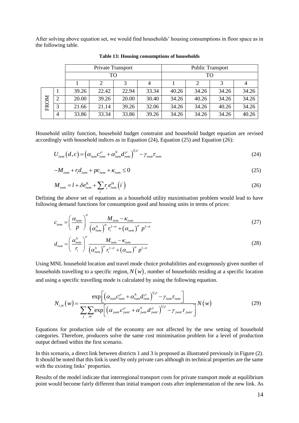After solving above equation set, we would find households' housing consumptions in floor space as in the following table.

|      |                |       | Private Transport |       |       |       |       | <b>Public Transport</b> |       |
|------|----------------|-------|-------------------|-------|-------|-------|-------|-------------------------|-------|
|      |                |       | TO                |       |       |       | TО    |                         |       |
|      |                |       |                   |       |       |       |       |                         |       |
| FROM |                | 39.26 | 22.42             | 22.94 | 33.34 | 40.26 | 34.26 | 34.26                   | 34.26 |
|      | 2              | 20.00 | 39.26             | 20.00 | 30.40 | 34.26 | 40.26 | 34.26                   | 34.26 |
|      | 3              | 21.66 | 21.14             | 39.26 | 32.06 | 34.26 | 34.26 | 40.26                   | 34.26 |
|      | $\overline{4}$ | 33.86 | 33.34             | 33.86 | 39.26 | 34.26 | 34.26 | 34.26                   | 40.26 |

**Table 13: Housing consumptions of households**

Household utility function, household budget constraint and household budget equation are revised accordingly with household indices as in Equation (24), Equation (25) and Equation (26):

$$
U_{iwm}(d,c) = \left(\alpha_{iwm}c_{iwm}^{\rho} + \alpha_{iwm}^{h}d_{iwm}^{\rho}\right)^{1/\rho} - \gamma_{iwm}\tau_{iwm}
$$
\n(24)

$$
-M_{i_{wm}} + r_i d_{i_{wm}} + p c_{i_{wm}} + \kappa_{i_{wm}} \le 0
$$
\n<sup>(25)</sup>

$$
M_{iwm} = l + \delta e_{iwm}^K + \sum_i r_i e_{iwm}^H \left( i \right) \tag{26}
$$

Defining the above set of equations as a household utility maximisation problem would lead to have following demand functions for consumption good and housing units in terms of prices:

$$
c_{iwm} = \left(\frac{\alpha_{iwm}}{p}\right)^{\sigma} \frac{M_{iwm} - \kappa_{iwm}}{\left(\alpha_{iwm}^h\right)^{\sigma} r_i^{1-\sigma} + \left(\alpha_{iwm}\right)^{\sigma} p^{1-\sigma}}
$$
(27)

$$
d_{iwm} = \left(\frac{\alpha_{iwm}^h}{r_i}\right)^{\sigma} \frac{M_{iwm} - \kappa_{iwm}}{\left(\alpha_{iwm}^h\right)^{\sigma} r_i^{1-\sigma} + \left(\alpha_{iwm}\right)^{\sigma} p^{1-\sigma}}
$$
(28)

Using MNL household location and travel mode choice probabilities and exogenously given number of households travelling to a specific region,  $N(w)$ , number of households residing at a specific location and using a specific travelling mode is calculated by using the following equation.

$$
N_{i,m}(w) = \frac{\exp\left[\left(\alpha_{iwm}c_{iwm}^{\rho} + \alpha_{iwm}^{h}d_{iwm}^{\rho}\right)^{1/\rho} - \gamma_{iwm}\tau_{iwm}\right]}{\sum_{j} \sum_{m'} \exp\left[\left(\alpha_{jwm}c_{jwm}^{\rho} + \alpha_{jwm}^{h}d_{jwm}^{\rho}\right)^{1/\rho} - \gamma_{jwm}\tau_{jwm}\right]}N(w)
$$
(29)

Equations for production side of the economy are not affected by the new setting of household categories. Therefore, producers solve the same cost minimisation problem for a level of production output defined within the first scenario.

In this scenario, a direct link between districts 1 and 3 is proposed as illustrated previously in Figure (2). It should be noted that this link is used by only private cars although its technical properties are the same with the existing links' properties.

Results of the model indicate that interregional transport costs for private transport mode at equilibrium point would become fairly different than initial transport costs after implementation of the new link. As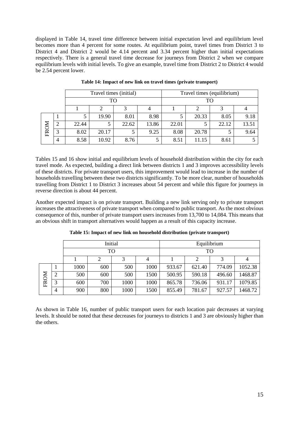displayed in Table 14, travel time difference between initial expectation level and equilibrium level becomes more than 4 percent for some routes. At equilibrium point, travel times from District 3 to District 4 and District 2 would be 4.14 percent and 3.34 percent higher than initial expectations respectively. There is a general travel time decrease for journeys from District 2 when we compare equilibrium levels with initial levels. To give an example, travel time from District 2 to District 4 would be 2.54 percent lower.

|      |   |       | Travel times (initial) |       |       |       |       | Travel times (equilibrium) |       |
|------|---|-------|------------------------|-------|-------|-------|-------|----------------------------|-------|
|      |   |       | TO                     |       |       |       | TO    |                            |       |
|      |   |       |                        |       |       |       |       |                            |       |
| FROM |   |       | 19.90                  | 8.01  | 8.98  |       | 20.33 | 8.05                       | 9.18  |
|      | ∠ | 22.44 |                        | 22.62 | 13.86 | 22.01 |       | 22.12                      | 13.51 |
|      | 3 | 8.02  | 20.17                  |       | 9.25  | 8.08  | 20.78 |                            | 9.64  |
|      | 4 | 8.58  | 10.92                  | 8.76  |       | 8.51  | 11.15 | 8.61                       |       |

**Table 14: Impact of new link on travel times (private transport)**

Tables 15 and 16 show initial and equilibrium levels of household distribution within the city for each travel mode. As expected, building a direct link between districts 1 and 3 improves accessibility levels of these districts. For private transport users, this improvement would lead to increase in the number of households travelling between these two districts significantly. To be more clear, number of households travelling from District 1 to District 3 increases about 54 percent and while this figure for journeys in reverse direction is about 44 percent.

Another expected impact is on private transport. Building a new link serving only to private transport increases the attractiveness of private transport when compared to public transport. As the most obvious consequence of this, number of private transport users increases from 13,700 to 14,084. This means that an obvious shift in transport alternatives would happen as a result of this capacity increase.

|      |                |      |     | Initial |      |        | Equilibrium |        |         |
|------|----------------|------|-----|---------|------|--------|-------------|--------|---------|
|      | TO             |      |     |         |      |        | TO          |        |         |
|      | 3<br>2<br>4    |      |     |         |      |        |             | 4      |         |
| FROM |                | 1000 | 600 | 500     | 1000 | 933.67 | 621.40      | 774.09 | 1052.38 |
|      | $\overline{2}$ | 500  | 600 | 500     | 1500 | 500.95 | 590.18      | 496.60 | 1468.87 |
|      | 3              | 600  | 700 | 1000    | 1000 | 865.78 | 736.06      | 931.17 | 1079.85 |
|      | 4              | 900  | 800 | 1000    | 1500 | 855.49 | 781.67      | 927.57 | 1468.72 |

**Table 15: Impact of new link on household distribution (private transport)**

As shown in Table 16, number of public transport users for each location pair decreases at varying levels. It should be noted that these decreases for journeys to districts 1 and 3 are obviously higher than the others.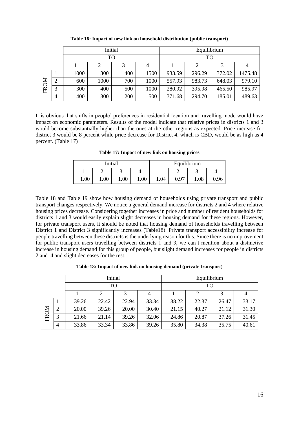|      |                |      |      | Initial |      |        |        | Equilibrium<br>TO<br>3 |         |  |
|------|----------------|------|------|---------|------|--------|--------|------------------------|---------|--|
|      |                |      | TO   |         |      |        |        |                        |         |  |
|      |                |      |      |         |      |        |        |                        |         |  |
| FROM |                | 1000 | 300  | 400     | 1500 | 933.59 | 296.29 | 372.02                 | 1475.48 |  |
|      | ↑              | 600  | 1000 | 700     | 1000 | 557.93 | 983.73 | 648.03                 | 979.10  |  |
|      | 3              | 300  | 400  | 500     | 1000 | 280.92 | 395.98 | 465.50                 | 985.97  |  |
|      | $\overline{4}$ | 400  | 300  | 200     | 500  | 371.68 | 294.70 | 185.01                 | 489.63  |  |

**Table 16: Impact of new link on household distribution (public transport)**

It is obvious that shifts in people' preferences in residential location and travelling mode would have impact on economic parameters. Results of the model indicate that relative prices in districts 1 and 3 would become substantially higher than the ones at the other regions as expected. Price increase for district 3 would be 8 percent while price decrease for District 4, which is CBD, would be as high as 4 percent. (Table 17)

**Table 17: Impact of new link on housing prices**

|      |      | Initial |      |      | Equilibrium |          |      |  |
|------|------|---------|------|------|-------------|----------|------|--|
|      |      |         |      | -    |             |          |      |  |
| 00.1 | 1.00 | 1.00    | 1.00 | 1.04 | 0.97        | $1.08\,$ | 0.96 |  |

Table 18 and Table 19 show how housing demand of households using private transport and public transport changes respectively. We notice a general demand increase for districts 2 and 4 where relative housing prices decrease. Considering together increases in price and number of resident households for districts 1 and 3 would easily explain slight decreases in housing demand for these regions. However, for private transport users, it should be noted that housing demand of households travelling between District 1 and District 3 significantly increases (Table18). Private transport accessibility increase for people travelling between these districts is the underlying reason for this. Since there is no improvement for public transport users travelling between districts 1 and 3, we can't mention about a distinctive increase in housing demand for this group of people, but slight demand increases for people in districts 2 and 4 and slight decreases for the rest.

**Table 18: Impact of new link on housing demand (private transport)**

|      | Initial |       |       |       |       |       | Equilibrium |       |                         |  |
|------|---------|-------|-------|-------|-------|-------|-------------|-------|-------------------------|--|
|      | TO      |       |       |       |       |       | TO          |       | 33.17<br>31.30<br>31.45 |  |
|      | 3       |       |       |       |       |       |             |       |                         |  |
|      |         | 39.26 | 22.42 | 22.94 | 33.34 | 38.22 | 22.37       | 26.47 |                         |  |
|      | ∍       | 20.00 | 39.26 | 20.00 | 30.40 | 21.15 | 40.27       | 21.12 |                         |  |
| FROM | 3       | 21.66 | 21.14 | 39.26 | 32.06 | 24.86 | 20.87       | 37.26 |                         |  |
|      | 4       | 33.86 | 33.34 | 33.86 | 39.26 | 35.80 | 34.38       | 35.75 | 40.61                   |  |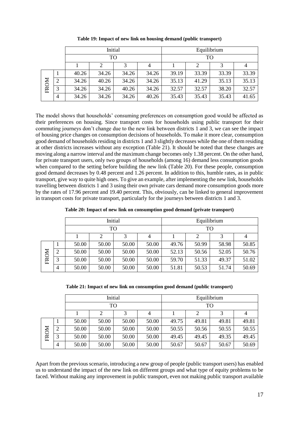|      | Initial        |       |       |       |       |       |       | Equilibrium |       |
|------|----------------|-------|-------|-------|-------|-------|-------|-------------|-------|
|      | TO             |       |       |       |       |       | TО    |             |       |
|      |                |       |       |       |       |       |       |             |       |
|      |                | 40.26 | 34.26 | 34.26 | 34.26 | 39.19 | 33.39 | 33.39       | 33.39 |
| FROM | $\overline{2}$ | 34.26 | 40.26 | 34.26 | 34.26 | 35.13 | 41.29 | 35.13       | 35.13 |
|      | 3              | 34.26 | 34.26 | 40.26 | 34.26 | 32.57 | 32.57 | 38.20       | 32.57 |
|      | 4              | 34.26 | 34.26 | 34.26 | 40.26 | 35.43 | 35.43 | 35.43       | 41.65 |

**Table 19: Impact of new link on housing demand (public transport)**

The model shows that households' consuming preferences on consumption good would be affected as their preferences on housing. Since transport costs for households using public transport for their commuting journeys don't change due to the new link between districts 1 and 3, we can see the impact of housing price changes on consumption decisions of households. To make it more clear, consumption good demand of householdsresiding in districts 1 and 3 slightly decreases while the one of them residing at other districts increases without any exception (Table 21). It should be noted that these changes are moving along a narrow interval and the maximum change becomes only 1.38 percent. On the other hand, for private transport users, only two groups of households (among 16) demand less consumption goods when compared to the setting before building the new link (Table 20). For these people, consumption good demand decreases by 0.48 percent and 1.26 percent. In addition to this, humble rates, as in public transport, give way to quite high ones. To give an example, after implementing the new link, households travelling between districts 1 and 3 using their own private cars demand more consumption goods more by the rates of 17.96 percent and 19.40 percent. This, obviously, can be linked to general improvement in transport costs for private transport, particularly for the journeys between districts 1 and 3.

| Table 20: Impact of new link on consumption good demand (private transport) |  |  |  |
|-----------------------------------------------------------------------------|--|--|--|
|-----------------------------------------------------------------------------|--|--|--|

|      | Initial |       |                          |       |       |       | Equilibrium |       |       |  |
|------|---------|-------|--------------------------|-------|-------|-------|-------------|-------|-------|--|
|      |         |       | TO                       |       |       |       | TO          |       |       |  |
|      |         |       | $\overline{2}$<br>3<br>4 |       |       |       | 2           | 3     | 4     |  |
| FROM |         | 50.00 | 50.00                    | 50.00 | 50.00 | 49.76 | 50.99       | 58.98 | 50.85 |  |
|      | 2       | 50.00 | 50.00                    | 50.00 | 50.00 | 52.13 | 50.56       | 52.05 | 50.76 |  |
|      | 3       | 50.00 | 50.00                    | 50.00 | 50.00 | 59.70 | 51.33       | 49.37 | 51.02 |  |
|      | 4       | 50.00 | 50.00                    | 50.00 | 50.00 | 51.81 | 50.53       | 51.74 | 50.69 |  |

| Table 21: Impact of new link on consumption good demand (public transport) |  |  |  |  |  |
|----------------------------------------------------------------------------|--|--|--|--|--|
|----------------------------------------------------------------------------|--|--|--|--|--|

|      |                |       | Initial             |       | Equilibrium |       |       |       |       |
|------|----------------|-------|---------------------|-------|-------------|-------|-------|-------|-------|
|      |                |       | TO                  |       |             | TО    |       |       |       |
|      |                |       | $\overline{2}$<br>3 |       |             |       |       |       |       |
|      |                | 50.00 | 50.00               | 50.00 | 50.00       | 49.75 | 49.81 | 49.81 | 49.81 |
|      | $\overline{2}$ | 50.00 | 50.00               | 50.00 | 50.00       | 50.55 | 50.56 | 50.55 | 50.55 |
| FROM | 3              | 50.00 | 50.00               | 50.00 | 50.00       | 49.45 | 49.45 | 49.35 | 49.45 |
|      | 4              | 50.00 | 50.00               | 50.00 | 50.00       | 50.67 | 50.67 | 50.67 | 50.69 |

Apart from the previous scenario, introducing a new group of people (public transport users) has enabled us to understand the impact of the new link on different groups and what type of equity problems to be faced. Without making any improvement in public transport, even not making public transport available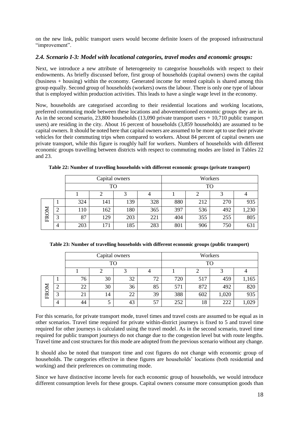on the new link, public transport users would become definite losers of the proposed infrastructural "improvement".

#### *2.4. Scenario I-3: Model with locational categories, travel modes and economic groups:*

Next, we introduce a new attribute of heterogeneity to categorise households with respect to their endowments. As briefly discussed before, first group of households (capital owners) owns the capital (business + housing) within the economy. Generated income for rented capitals is shared among this group equally. Second group of households (workers) owns the labour. There is only one type of labour that is employed within production activities. This leads to have a single wage level in the economy.

Now, households are categorised according to their residential locations and working locations, preferred commuting mode between these locations and abovementioned economic groups they are in. As in the second scenario, 23,800 households (13,090 private transport users + 10,710 public transport users) are residing in the city. About 16 percent of households (3,859 households) are assumed to be capital owners. It should be noted here that capital owners are assumed to be more apt to use their private vehicles for their commuting trips when compared to workers. About 84 percent of capital owners use private transport, while this figure is roughly half for workers. Numbers of households with different economic groups travelling between districts with respect to commuting modes are listed in Tables 22 and 23.

|      |   |     | Capital owners |     |     | Workers   |     |     |       |
|------|---|-----|----------------|-----|-----|-----------|-----|-----|-------|
|      |   |     | <b>TO</b>      |     |     | <b>TO</b> |     |     |       |
|      |   |     |                |     |     |           |     |     |       |
|      |   | 324 | 141            | 139 | 328 | 880       | 212 | 270 | 935   |
| FROM |   | 110 | 162            | 180 | 365 | 397       | 536 | 492 | 1,230 |
|      | 3 | 87  | 129            | 203 | 221 | 404       | 355 | 255 | 805   |
|      | 4 | 203 | 171            | 185 | 283 | 801       | 906 | 750 | 631   |

**Table 22: Number of travelling households with different economic groups (private transport)**

| Table 23: Number of travelling households with different economic groups (public transport) |  |  |  |
|---------------------------------------------------------------------------------------------|--|--|--|
|                                                                                             |  |  |  |

|      |   |           |           | Capital owners |    | Workers   |     |       |       |
|------|---|-----------|-----------|----------------|----|-----------|-----|-------|-------|
|      |   |           | <b>TO</b> |                |    | <b>TO</b> |     |       |       |
|      |   | $\bigcap$ |           |                |    |           |     |       |       |
|      |   | 76        | 30        | 32             | 72 | 720       | 517 | 459   | 1,165 |
|      | ∠ | 22        | 30        | 36             | 85 | 571       | 872 | 492   | 820   |
| FROM | 3 | 21        | 14        | 22             | 39 | 388       | 602 | 1,020 | 935   |
|      | 4 | 44        |           | 43             | 57 | 252       | 18  | 222   | 1,029 |

For this scenario, for private transport mode, travel times and travel costs are assumed to be equal as in other scenarios. Travel time required for private within-district journeys is fixed to 5 and travel time required for other journeys is calculated using the travel model. As in the second scenario, travel time required for public transport journeys do not change due to the congestion level but with route lengths. Travel time and cost structures for this mode are adopted from the previous scenario without any change.

It should also be noted that transport time and cost figures do not change with economic group of households. The categories effective in these figures are households' locations (both residential and working) and their preferences on commuting mode.

Since we have distinctive income levels for each economic group of households, we would introduce different consumption levels for these groups. Capital owners consume more consumption goods than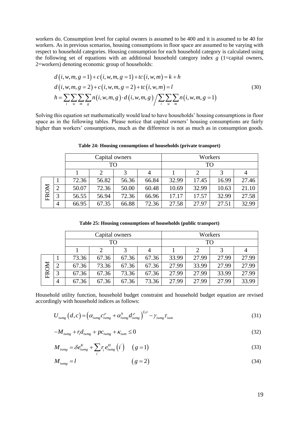workers do. Consumption level for capital owners is assumed to be 400 and it is assumed to be 40 for workers. As in previous scenarios, housing consumptions in floor space are assumed to be varying with respect to household categories. Housing consumption for each household category is calculated using the following set of equations with an additional household category index  $g(1)$  = capital owners, 2=workers) denoting economic group of households:

$$
d(i, w, m, g = 1) + c(i, w, m, g = 1) + tc(i, w, m) = k + h
$$
  
\n
$$
d(i, w, m, g = 2) + c(i, w, m, g = 2) + tc(i, w, m) = l
$$
  
\n
$$
h = \sum_{i} \sum_{w} \sum_{m} \sum_{g} n(i, w, m, g) \cdot d(i, w, m, g) / \sum_{i} \sum_{w} \sum_{m} n(i, w, m, g = 1)
$$
\n(30)

Solving this equation set mathematically would lead to have households' housing consumptions in floor space as in the following tables. Please notice that capital owners' housing consumptions are fairly higher than workers' consumptions, much as the difference is not as much as in consumption goods.

|      | Capital owners      |       |       |       |       |           | Workers |       |       |  |
|------|---------------------|-------|-------|-------|-------|-----------|---------|-------|-------|--|
|      |                     |       | TO    |       |       | <b>TO</b> |         |       |       |  |
|      | 3<br>$\overline{4}$ |       |       |       |       |           |         | 4     |       |  |
|      |                     | 72.36 | 56.82 | 56.36 | 66.84 | 32.99     | 17.45   | 16.99 | 27.46 |  |
|      | $\overline{2}$      | 50.07 | 72.36 | 50.00 | 60.48 | 10.69     | 32.99   | 10.63 | 21.10 |  |
| FROM | 3                   | 56.55 | 56.94 | 72.36 | 66.96 | 17.17     | 17.57   | 32.99 | 27.58 |  |
|      | 4                   | 66.95 | 67.35 | 66.88 | 72.36 | 27.58     | 27.97   | 27.51 | 32.99 |  |

**Table 24: Housing consumptions of households (private transport)**

**Table 25: Housing consumptions of households (public transport)**

|      |                |       | Capital owners |       |       | Workers   |       |       |       |
|------|----------------|-------|----------------|-------|-------|-----------|-------|-------|-------|
|      |                |       | TO             |       |       | <b>TO</b> |       |       |       |
|      |                | 3     |                |       |       |           | 2     |       | 4     |
|      |                | 73.36 | 67.36          | 67.36 | 67.36 | 33.99     | 27.99 | 27.99 | 27.99 |
|      | $\overline{2}$ | 67.36 | 73.36          | 67.36 | 67.36 | 27.99     | 33.99 | 27.99 | 27.99 |
| FROM | 3              | 67.36 | 67.36          | 73.36 | 67.36 | 27.99     | 27.99 | 33.99 | 27.99 |
|      | $\overline{4}$ | 67.36 | 67.36          | 67.36 | 73.36 | 27.99     | 27.99 | 27.99 | 33.99 |

Household utility function, household budget constraint and household budget equation are revised accordingly with household indices as follows:

$$
U_{i wmg} (d,c) = \left( \alpha_{i wmg} c_{i wmg}^{\rho} + \alpha_{i wmg}^h d_{i wmg}^{\rho} \right)^{1/\rho} - \gamma_{i wmg} \tau_{i wm}
$$
(31)

$$
-M_{i_{wmg}} + r_i d_{i_{wmg}} + pc_{i_{wmg}} + \kappa_{i_{wm}} \le 0
$$
\n(32)

$$
M_{i wmg} = \delta e_{i wmg}^{K} + \sum_{i} r_{i} e_{i wmg}^{H} (i) \quad (g = 1)
$$
\n(33)

$$
M_{i \text{wmg}} = l \tag{34}
$$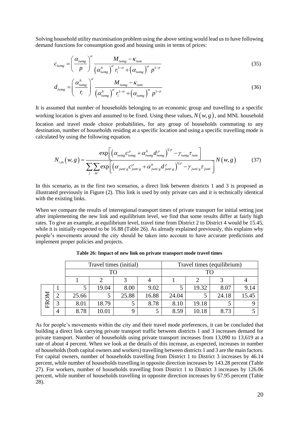Solving household utility maximisation problem using the above setting would lead us to have following demand functions for consumption good and housing units in terms of prices:

$$
c_{i w m g} = \left(\frac{\alpha_{i w m g}}{p}\right)^{\sigma} \frac{M_{i w m g} - \kappa_{i w m}}{\left(\alpha_{i w m g}^h\right)^{\sigma} r_i^{1-\sigma} + \left(\alpha_{i w m g}\right)^{\sigma} p^{1-\sigma}}
$$
(35)

$$
d_{i wmg} = \left(\frac{\alpha_{i wmg}^h}{r_i}\right)^{\sigma} \frac{M_{i wmg} - \kappa_{i wm}}{\left(\alpha_{i wmg}^h\right)^{\sigma} r_i^{1-\sigma} + \left(\alpha_{i wmg}\right)^{\sigma} p^{1-\sigma}}
$$
(36)

It is assumed that number of households belonging to an economic group and travelling to a specific working location is given and assumed to be fixed. Using these values,  $N(w, g)$ , and MNL household location and travel mode choice probabilities, for any group of households commuting to any destination, number of households residing at a specific location and using a specific travelling mode is calculated by using the following equation.

$$
N_{i,m}(w,g) = \frac{\exp\left[\left(\alpha_{i\text{wmg}}c_{i\text{wmg}}^{\rho} + \alpha_{i\text{wmg}}^h d_{i\text{wmg}}^{\rho}\right)^{1/\rho} - \gamma_{i\text{wmg}}\tau_{i\text{wm}}\right]}{\sum_{j} \sum_{m'} \exp\left[\left(\alpha_{j\text{wm'}g}c_{j\text{wm'}g}^{\rho} + \alpha_{j\text{wm'}g}^h d_{j\text{wm'}g}^{\rho}\right)^{1/\rho} - \gamma_{j\text{wm'}g}\tau_{j\text{wm'}}\right]}N(w,g) \quad (37)
$$

In this scenario, as in the first two scenarios, a direct link between districts 1 and 3 is proposed as illustrated previously in Figure (2). This link is used by only private cars and it is technically identical with the existing links.

When we compare the results of interregional transport times of private transport for initial setting just after implementing the new link and equilibrium level, we find that some results differ at fairly high rates. To give an example, at equilibrium level, travel time from District 2 to District 4 would be 15.45, while it is initially expected to be 16.88 (Table 26). As already explained previously, this explains why people's movements around the city should be taken into account to have accurate predictions and implement proper policies and projects.

|      |   |       | Travel times (initial) |       |       | Travel times (equilibrium) |       |       |       |
|------|---|-------|------------------------|-------|-------|----------------------------|-------|-------|-------|
|      |   |       | TO                     |       |       | TC                         |       |       |       |
|      |   |       |                        |       |       |                            |       |       |       |
|      |   |       | 19.04                  | 8.00  | 9.02  |                            | 19.32 | 8.07  | 9.14  |
|      |   | 25.66 |                        | 25.88 | 16.88 | 24.04                      |       | 24.18 | 15.45 |
| FROM |   | 8.01  | 18.79                  |       | 8.78  | 8.10                       | 19.18 |       |       |
|      | 4 | 8.78  | 10.01                  |       |       | 8.59                       | 10.18 | 8.73  |       |

**Table 26: Impact of new link on private transport mode travel times**

As for people's movements within the city and their travel mode preferences, it can be concluded that building a direct link carrying private transport traffic between districts 1 and 3 increases demand for private transport. Number of households using private transport increases from 13,090 to 13,619 at a rate of about 4 percent. When we look at the details of this increase, as expected, increases in number of households (both capital owners and workers) travelling between districts 1 and 3 are the main factors. For capital owners, number of households travelling from District 1 to District 3 increases by 46.14 percent, while number of households travelling in opposite direction increases by 143.28 percent (Table 27). For workers, number of households travelling from District 1 to District 3 increases by 126.06 percent, while number of households travelling in opposite direction increases by 67.95 percent (Table 28).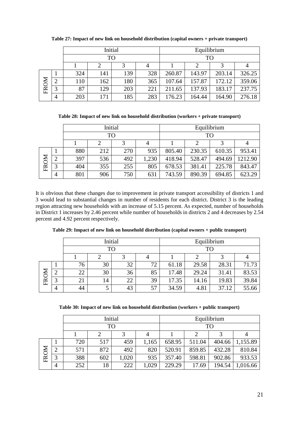|      |   |             |     | Initial |     | Equilibrium |        |        |        |
|------|---|-------------|-----|---------|-----|-------------|--------|--------|--------|
|      |   |             | TO  |         |     | <b>TO</b>   |        |        |        |
|      |   | 3<br>2<br>4 |     |         |     |             |        |        |        |
|      |   | 324         | 141 | 139     | 328 | 260.87      | 143.97 | 203.14 | 326.25 |
| FROM | ി | 110         | 162 | 180     | 365 | 107.64      | 157.87 | 172.12 | 359.06 |
|      | 3 | 87          | 129 | 203     | 221 | 211.65      | 137.93 | 183.17 | 237.75 |
|      | 4 | 203         | 171 | 185     | 283 | 176.23      | 164.44 | 164.90 | 276.18 |

**Table 27: Impact of new link on household distribution (capital owners + private transport)**

**Table 28: Impact of new link on household distribution (workers + private transport)**

|      |            |     | Initial   |     |       | Equilibrium |        |        |         |
|------|------------|-----|-----------|-----|-------|-------------|--------|--------|---------|
|      |            |     | <b>TO</b> |     |       | TO          |        |        |         |
|      |            |     |           |     | 4     |             |        |        |         |
|      |            | 880 | 212       | 270 | 935   | 805.40      | 230.35 | 610.35 | 953.41  |
| FROM | $\bigcirc$ | 397 | 536       | 492 | 1,230 | 418.94      | 528.47 | 494.69 | 1212.90 |
|      | 3          | 404 | 355       | 255 | 805   | 678.53      | 381.41 | 225.78 | 843.47  |
|      | 4          | 801 | 906       | 750 | 631   | 743.59      | 890.39 | 694.85 | 623.29  |

It is obvious that these changes due to improvement in private transport accessibility of districts 1 and 3 would lead to substantial changes in number of residents for each district. District 3 is the leading region attracting new households with an increase of 5.15 percent. As expected, number of households in District 1 increases by 2.46 percent while number of households in districts 2 and 4 decreases by 2.54 percent and 4.92 percent respectively.

|      |   |    |    | Initial |    | Equilibrium |       |       |       |
|------|---|----|----|---------|----|-------------|-------|-------|-------|
|      |   |    | TO |         |    | TO          |       |       |       |
|      |   |    |    |         |    |             |       |       |       |
| FROM |   | 76 | 30 | 32      | 72 | 61.18       | 29.58 | 28.31 | 71.73 |
|      | ∽ | 22 | 30 | 36      | 85 | 17.48       | 29.24 | 31.41 | 83.53 |
|      | ◠ | 21 | 14 | 22      | 39 | 17.35       | 14.16 | 19.83 | 39.84 |
|      | 4 | 44 |    | 43      | 57 | 34.59       | 4.81  | 37.12 | 55.66 |

**Table 30: Impact of new link on household distribution (workers + public transport)**

|      |               |     | Initial   |       |       | Equilibrium |        |        |          |
|------|---------------|-----|-----------|-------|-------|-------------|--------|--------|----------|
|      |               |     | <b>TO</b> |       |       |             |        | TO     |          |
|      |               |     |           | 3     | 4     |             |        |        |          |
|      |               | 720 | 517       | 459   | 1,165 | 658.95      | 511.04 | 404.66 | 1,155.89 |
| FROM | $\mathcal{D}$ | 571 | 872       | 492   | 820   | 520.91      | 859.85 | 432.28 | 810.84   |
|      | 3             | 388 | 602       | 1,020 | 935   | 357.40      | 598.81 | 902.86 | 933.53   |
|      | 4             | 252 | 18        | 222   | 1,029 | 229.29      | 17.69  | 194.54 | 1,016.66 |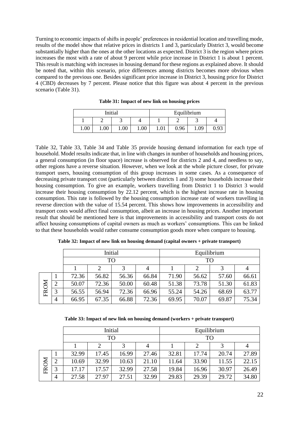Turning to economic impacts of shifts in people' preferences in residential location and travelling mode, results of the model show that relative prices in districts 1 and 3, particularly District 3, would become substantially higher than the ones at the other locations as expected. District 3 is the region where prices increases the most with a rate of about 9 percent while price increase in District 1 is about 1 percent. This result is matching with increases in housing demand for these regions as explained above. It should be noted that, within this scenario, price differences among districts becomes more obvious when compared to the previous one. Besides significant price increase in District 3, housing price for District 4 (CBD) decreases by 7 percent. Please notice that this figure was about 4 percent in the previous scenario (Table 31).

|      |      | Initial  |      |      |      | Equilibrium |      |
|------|------|----------|------|------|------|-------------|------|
|      |      |          |      |      |      |             |      |
| 1.00 | 1.00 | $1.00\,$ | 1.00 | 1.01 | 0.96 | 1.09        | 0.93 |

**Table 31: Impact of new link on housing prices**

Table 32, Table 33, Table 34 and Table 35 provide housing demand information for each type of household. Model results indicate that, in line with changes in number of households and housing prices, a general consumption (in floor space) increase is observed for districts 2 and 4, and needless to say, other regions have a reverse situation. However, when we look at the whole picture closer, for private transport users, housing consumption of this group increases in some cases. As a consequence of decreasing private transport cost (particularly between districts 1 and 3) some households increase their housing consumption. To give an example, workers travelling from District 1 to District 3 would increase their housing consumption by 22.12 percent, which is the highest increase rate in housing consumption. This rate is followed by the housing consumption increase rate of workers travelling in reverse direction with the value of 15.54 percent. This shows how improvements in accessibility and transport costs would affect final consumption, albeit an increase in housing prices. Another important result that should be mentioned here is that improvements in accessibility and transport costs do not affect housing consumptions of capital owners as much as workers' consumptions. This can be linked to that these households would rather consume consumption goods more when compare to housing.

|      |                |       | Initial   |       |       | Equilibrium |           |       |       |
|------|----------------|-------|-----------|-------|-------|-------------|-----------|-------|-------|
|      |                |       | <b>TO</b> |       |       |             | <b>TO</b> |       |       |
|      |                |       |           |       | 4     |             |           |       |       |
|      |                | 72.36 | 56.82     | 56.36 | 66.84 | 71.90       | 56.62     | 57.60 | 66.61 |
| FROM | $\overline{2}$ | 50.07 | 72.36     | 50.00 | 60.48 | 51.38       | 73.78     | 51.30 | 61.83 |
|      | 3              | 56.55 | 56.94     | 72.36 | 66.96 | 55.24       | 54.26     | 68.69 | 63.77 |
|      | 4              | 66.95 | 67.35     | 66.88 | 72.36 | 69.95       | 70.07     | 69.87 | 75.34 |

**Table 32: Impact of new link on housing demand (capital owners + private transport)**

**Table 33: Impact of new link on housing demand (workers + private transport)**

|      |                |       | Initial   |       |       |       |           | Equilibrium |       |
|------|----------------|-------|-----------|-------|-------|-------|-----------|-------------|-------|
|      |                |       | <b>TO</b> |       |       |       | <b>TO</b> |             |       |
|      |                |       | 2         | 3     | 4     |       |           |             |       |
|      |                | 32.99 | 17.45     | 16.99 | 27.46 | 32.81 | 17.74     | 20.74       | 27.89 |
| FROM | $\bigcirc$     | 10.69 | 32.99     | 10.63 | 21.10 | 11.64 | 33.90     | 11.55       | 22.15 |
|      | 3              | 17.17 | 17.57     | 32.99 | 27.58 | 19.84 | 16.96     | 30.97       | 26.49 |
|      | $\overline{4}$ | 27.58 | 27.97     | 27.51 | 32.99 | 29.83 | 29.39     | 29.72       | 34.80 |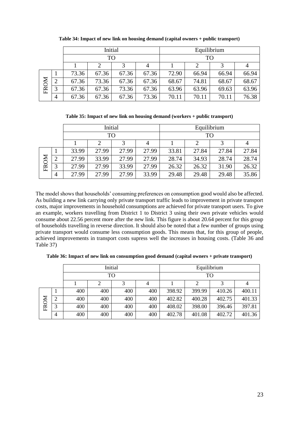|      |               |       | Initial   |       |       |       |           | Equilibrium |       |
|------|---------------|-------|-----------|-------|-------|-------|-----------|-------------|-------|
|      |               |       | <b>TO</b> |       |       |       | <b>TO</b> |             |       |
|      |               |       | 2         | 3     | 4     |       |           |             |       |
|      |               | 73.36 | 67.36     | 67.36 | 67.36 | 72.90 | 66.94     | 66.94       | 66.94 |
| FROM | $\mathcal{D}$ | 67.36 | 73.36     | 67.36 | 67.36 | 68.67 | 74.81     | 68.67       | 68.67 |
|      | 3             | 67.36 | 67.36     | 73.36 | 67.36 | 63.96 | 63.96     | 69.63       | 63.96 |
|      | 4             | 67.36 | 67.36     | 67.36 | 73.36 | 70.11 | 70.11     | 70.11       | 76.38 |

**Table 34: Impact of new link on housing demand (capital owners + public transport)**

**Table 35: Impact of new link on housing demand (workers + public transport)**

|      |            |       | Initial   |       |       | Equilibrium |       |       |       |
|------|------------|-------|-----------|-------|-------|-------------|-------|-------|-------|
|      |            |       | <b>TO</b> |       |       |             | TO    |       |       |
|      | 4          |       |           |       |       |             |       |       |       |
|      |            | 33.99 | 27.99     | 27.99 | 27.99 | 33.81       | 27.84 | 27.84 | 27.84 |
|      | $\bigcirc$ | 27.99 | 33.99     | 27.99 | 27.99 | 28.74       | 34.93 | 28.74 | 28.74 |
| FROM | 3          | 27.99 | 27.99     | 33.99 | 27.99 | 26.32       | 26.32 | 31.90 | 26.32 |
|      | 4          | 27.99 | 27.99     | 27.99 | 33.99 | 29.48       | 29.48 | 29.48 | 35.86 |

The model shows that households' consuming preferences on consumption good would also be affected. As building a new link carrying only private transport traffic leads to improvement in private transport costs, major improvements in household consumptions are achieved for private transport users. To give an example, workers travelling from District 1 to District 3 using their own private vehicles would consume about 22.56 percent more after the new link. This figure is about 20.64 percent for this group of households travelling in reverse direction. It should also be noted that a few number of groups using private transport would consume less consumption goods. This means that, for this group of people, achieved improvements in transport costs supress well the increases in housing costs. (Table 36 and Table 37)

**Table 36: Impact of new link on consumption good demand (capital owners + private transport)**

|      |                |     |     | Initial   |                | Equilibrium |        |        |        |
|------|----------------|-----|-----|-----------|----------------|-------------|--------|--------|--------|
|      |                |     |     | <b>TO</b> |                |             | TO     |        |        |
|      |                |     | 2   | 3         | $\overline{4}$ |             |        |        | 4      |
|      |                | 400 | 400 | 400       | 400            | 398.92      | 399.99 | 410.26 | 400.11 |
|      | $\overline{2}$ | 400 | 400 | 400       | 400            | 402.82      | 400.28 | 402.75 | 401.33 |
| FROM | 3              | 400 | 400 | 400       | 400            | 408.02      | 398.00 | 396.46 | 397.81 |
|      | 4              | 400 | 400 | 400       | 400            | 402.78      | 401.08 | 402.72 | 401.36 |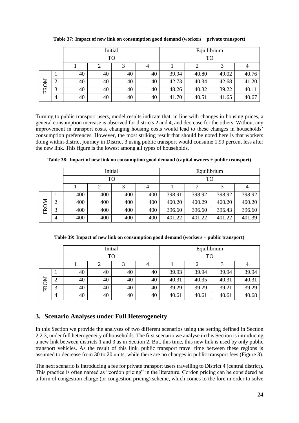|             |   |    |    | Initial |    | Equilibrium |       |       |       |
|-------------|---|----|----|---------|----|-------------|-------|-------|-------|
|             |   |    | TO |         |    |             | TO    |       |       |
|             |   |    |    |         |    |             |       |       |       |
|             |   | 40 | 40 | 40      | 40 | 39.94       | 40.80 | 49.02 | 40.76 |
| <b>FROM</b> | ◠ | 40 | 40 | 40      | 40 | 42.73       | 40.34 | 42.68 | 41.20 |
|             | 3 | 40 | 40 | 40      | 40 | 48.26       | 40.32 | 39.22 | 40.11 |
|             | 4 | 40 | 40 | 40      | 40 | 41.70       | 40.51 | 41.65 | 40.67 |

**Table 37: Impact of new link on consumption good demand (workers + private transport)**

Turning to public transport users, model results indicate that, in line with changes in housing prices, a general consumption increase is observed for districts 2 and 4, and decrease for the others. Without any improvement in transport costs, changing housing costs would lead to these changes in households' consumption preferences. However, the most striking result that should be noted here is that workers doing within-district journey in District 3 using public transport would consume 1.99 percent less after the new link. This figure is the lowest among all types of households.

|      |                |        |     | Initial |     | Equilibrium |        |        |        |
|------|----------------|--------|-----|---------|-----|-------------|--------|--------|--------|
|      |                |        | TO  |         |     | TO          |        |        |        |
|      |                | 3<br>4 |     |         |     |             |        |        |        |
|      |                | 400    | 400 | 400     | 400 | 398.91      | 398.92 | 398.92 | 398.92 |
|      | $\overline{2}$ | 400    | 400 | 400     | 400 | 400.20      | 400.29 | 400.20 | 400.20 |
| FROM | 3              | 400    | 400 | 400     | 400 | 396.60      | 396.60 | 396.43 | 396.60 |
|      | $\overline{4}$ | 400    | 400 | 400     | 400 | 401.22      | 401.22 | 401.22 | 401.39 |

**Table 38: Impact of new link on consumption good demand (capital owners + public transport)**

**Table 39: Impact of new link on consumption good demand (workers + public transport)**

|           |   |    |           | Initial |    | Equilibrium |       |       |       |  |
|-----------|---|----|-----------|---------|----|-------------|-------|-------|-------|--|
|           |   |    | <b>TO</b> |         |    |             | TO    |       |       |  |
|           |   |    |           | 3       | 4  |             |       | 3     |       |  |
|           |   | 40 | 40        | 40      | 40 | 39.93       | 39.94 | 39.94 | 39.94 |  |
| <b>NO</b> | 2 | 40 | 40        | 40      | 40 | 40.31       | 40.35 | 40.31 | 40.31 |  |
| Ě         | 3 | 40 | 40        | 40      | 40 | 39.29       | 39.29 | 39.21 | 39.29 |  |
|           | 4 | 40 | 40        | 40      | 40 | 40.61       | 40.61 | 40.61 | 40.68 |  |

# **3. Scenario Analyses under Full Heterogeneity**

In this Section we provide the analyses of two different scenarios using the setting defined in Section 2.2.3, under full heterogeneity of households. The first scenario we analyse in this Section is introducing a new link between districts 1 and 3 as in Section 2. But, this time, this new link is used by only public transport vehicles. As the result of this link, public transport travel time between these regions is assumed to decrease from 30 to 20 units, while there are no changes in public transport fees (Figure 3).

The next scenario is introducing a fee for private transport users travelling to District 4 (central district). This practice is often named as "cordon pricing" in the literature. Cordon pricing can be considered as a form of congestion charge (or congestion pricing) scheme, which comes to the fore in order to solve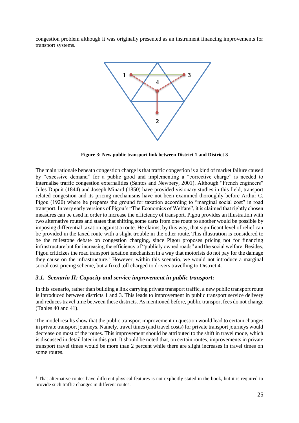congestion problem although it was originally presented as an instrument financing improvements for transport systems.



**Figure 3: New public transport link between District 1 and District 3**

The main rationale beneath congestion charge is that traffic congestion is a kind of market failure caused by "excessive demand" for a public good and implementing a "corrective charge" is needed to internalise traffic congestion externalities (Santos and Newbery, 2001). Although "French engineers" Jules Dupuit (1844) and Joseph Minard (1850) have provided visionary studies in this field, transport related congestion and its pricing mechanisms have not been examined thoroughly before Arthur C. Pigou (1920) where he prepares the ground for taxation according to "marginal social cost" in road transport. In very early versions of Pigou's "The Economics of Welfare", it is claimed that rightly chosen measures can be used in order to increase the efficiency of transport. Pigou provides an illustration with two alternative routes and states that shifting some carts from one route to another would be possible by imposing differential taxation against a route. He claims, by this way, that significant level of relief can be provided in the taxed route with a slight trouble in the other route. This illustration is considered to be the milestone debate on congestion charging, since Pigou proposes pricing not for financing infrastructure but for increasing the efficiency of "publicly owned roads" and the social welfare. Besides, Pigou criticizes the road transport taxation mechanism in a way that motorists do not pay for the damage they cause on the infrastructure.<sup>2</sup> However, within this scenario, we would not introduce a marginal social cost pricing scheme, but a fixed toll charged to drivers travelling to District 4.

#### *3.1. Scenario II: Capacity and service improvement in public transport:*

 $\overline{a}$ 

In this scenario, rather than building a link carrying private transport traffic, a new public transport route is introduced between districts 1 and 3. This leads to improvement in public transport service delivery and reduces travel time between these districts. As mentioned before, public transport fees do not change (Tables 40 and 41).

The model results show that the public transport improvement in question would lead to certain changes in private transport journeys. Namely, travel times (and travel costs) for private transport journeys would decrease on most of the routes. This improvement should be attributed to the shift in travel mode, which is discussed in detail later in this part. It should be noted that, on certain routes, improvements in private transport travel times would be more than 2 percent while there are slight increases in travel times on some routes.

<sup>&</sup>lt;sup>2</sup> That alternative routes have different physical features is not explicitly stated in the book, but it is required to provide such traffic changes in different routes.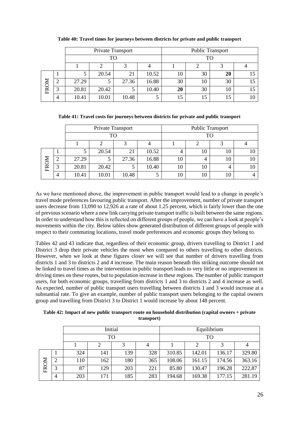|      |        |       | Private Transport |       |       | <b>Public Transport</b> |    |    |  |
|------|--------|-------|-------------------|-------|-------|-------------------------|----|----|--|
|      |        |       | TO                |       |       |                         | TO |    |  |
|      |        |       |                   |       |       |                         |    |    |  |
|      |        |       | 20.54             | 21    | 10.52 | 10                      | 30 | 20 |  |
|      | ി<br>∠ | 27.29 |                   | 27.36 | 16.88 | 30                      | 10 | 30 |  |
| FROM | 3      | 20.81 | 20.42             |       | 10.40 | 20                      | 30 | 10 |  |
|      | 4      | 10.41 | 10.01             | 10.48 |       | 15                      | 15 | 15 |  |

**Table 40: Travel times for journeys between districts for private and public transport**

**Table 41: Travel costs for journeys between districts for private and public transport**

|      |                |       | Private Transport |       |       | <b>Public Transport</b> |    |    |    |
|------|----------------|-------|-------------------|-------|-------|-------------------------|----|----|----|
|      |                |       | TO                |       |       |                         | TO |    |    |
|      |                |       |                   |       |       |                         |    |    |    |
|      |                | J     | 20.54             | 21    | 10.52 | 4                       | 10 | 10 | 10 |
| FROM |                | 27.29 |                   | 27.36 | 16.88 | 10                      | 4  | 10 | 10 |
|      | 3              | 20.81 | 20.42             |       | 10.40 | 10                      | 10 | 4  | 10 |
|      | $\overline{4}$ | 10.41 | 10.01             | 10.48 |       | 10                      | 10 | 10 |    |

As we have mentioned above, the improvement in public transport would lead to a change in people's travel mode preferences favouring public transport. After the improvement, number of private transport users decrease from 13,090 to 12,926 at a rate of about 1.25 percent, which is fairly lower than the one of previous scenario where a new link carrying private transport traffic is built between the same regions. In order to understand how this is reflected on different groups of people, we can have a look at people's movements within the city. Below tables show generated distribution of different groups of people with respect to their commuting locations, travel mode preferences and economic groups they belong to.

Tables 42 and 43 indicate that, regardless of their economic group, drivers travelling to District 1 and District 3 drop their private vehicles the most when compared to others travelling to other districts. However, when we look at these figures closer we will see that number of drivers travelling from districts 1 and 3 to districts 2 and 4 increase. The main reason beneath this striking outcome should not be linked to travel times as the intervention in public transport leads to very little or no improvement in driving times on these routes, but to population increase in these regions. The number of public transport users, for both economic groups, travelling from districts 1 and 3 to districts 2 and 4 increase as well. As expected, number of public transport users travelling between districts 1 and 3 would increase at a substantial rate. To give an example, number of public transport users belonging to the capital owners group and travelling from District 3 to District 1 would increase by about 148 percent.

**Table 42: Impact of new public transport route on household distribution (capital owners + private transport)**

|      |                |     |     | Initial |     | Equilibrium |        |        |        |
|------|----------------|-----|-----|---------|-----|-------------|--------|--------|--------|
|      |                |     |     | TO      |     | TО          |        |        |        |
|      |                |     |     |         |     |             |        |        |        |
|      |                | 324 | 141 | 139     | 328 | 310.85      | 142.01 | 136.17 | 329.80 |
|      | $\overline{2}$ | 110 | 162 | 180     | 365 | 108.06      | 161.15 | 174.56 | 363.16 |
| FROM | 3              | 87  | 129 | 203     | 221 | 85.80       | 130.47 | 196.28 | 222.87 |
|      | 4              | 203 | 171 | 185     | 283 | 194.68      | 169.38 | 177.15 | 281.19 |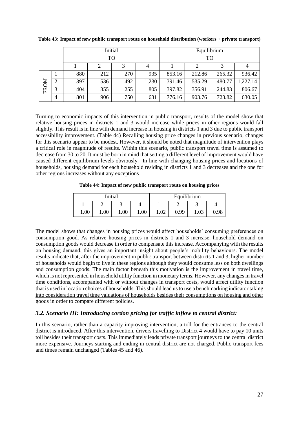|      |                |     |     | Initial |       | Equilibrium |        |        |          |
|------|----------------|-----|-----|---------|-------|-------------|--------|--------|----------|
|      |                |     | TO  |         |       | TO          |        |        |          |
|      |                |     | 2   | 3       | 4     |             |        |        |          |
|      |                | 880 | 212 | 270     | 935   | 853.16      | 212.86 | 265.32 | 936.42   |
|      | $\overline{2}$ | 397 | 536 | 492     | 1,230 | 391.46      | 535.29 | 480.77 | 1,227.14 |
| FROM | 3              | 404 | 355 | 255     | 805   | 397.82      | 356.91 | 244.83 | 806.67   |
|      | $\overline{4}$ | 801 | 906 | 750     | 631   | 776.16      | 903.76 | 723.82 | 630.05   |

**Table 43: Impact of new public transport route on household distribution (workers + private transport)**

Turning to economic impacts of this intervention in public transport, results of the model show that relative housing prices in districts 1 and 3 would increase while prices in other regions would fall slightly. This result is in line with demand increase in housing in districts 1 and 3 due to public transport accessibility improvement. (Table 44) Recalling housing price changes in previous scenario, changes for this scenario appear to be modest. However, it should be noted that magnitude of intervention plays a critical role in magnitude of results. Within this scenario, public transport travel time is assumed to decrease from 30 to 20. It must be born in mind that setting a different level of improvement would have caused different equilibrium levels obviously. In line with changing housing prices and locations of households, housing demand for each household residing in districts 1 and 3 decreases and the one for other regions increases without any exceptions

**Table 44: Impact of new public transport route on housing prices**

|      |      | Initial |      | Equilibrium |      |      |      |
|------|------|---------|------|-------------|------|------|------|
|      |      |         |      |             |      |      |      |
| 1.00 | 1.00 | 1.00    | 1.00 | 1.02        | 0.99 | 1.03 | 0.98 |

The model shows that changes in housing prices would affect households' consuming preferences on consumption good. As relative housing prices in districts 1 and 3 increase, household demand on consumption goods would decrease in order to compensate this increase. Accompanying with the results on housing demand, this gives an important insight about people's mobility behaviours. The model results indicate that, after the improvement in public transport between districts 1 and 3, higher number of households would begin to live in these regions although they would consume less on both dwellings and consumption goods. The main factor beneath this motivation is the improvement in travel time, which is not represented in household utility function in monetary terms. However, any changes in travel time conditions, accompanied with or without changes in transport costs, would affect utility function that is used in location choices of households. This should lead us to use a benchmarking indicator taking into consideration travel time valuations of households besides their consumptions on housing and other goods in order to compare different policies.

#### *3.2. Scenario III: Introducing cordon pricing for traffic inflow to central district:*

In this scenario, rather than a capacity improving intervention, a toll for the entrances to the central district is introduced. After this intervention, drivers travelling to District 4 would have to pay 10 units toll besides their transport costs. This immediately leads private transport journeys to the central district more expensive. Journeys starting and ending in central district are not charged. Public transport fees and times remain unchanged (Tables 45 and 46).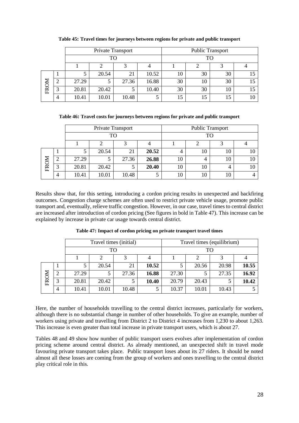|      |   |       | Private Transport |       |       | <b>Public Transport</b> |    |    |  |  |
|------|---|-------|-------------------|-------|-------|-------------------------|----|----|--|--|
|      |   |       | <b>TO</b>         |       |       | TO                      |    |    |  |  |
|      |   |       |                   |       |       |                         |    |    |  |  |
|      |   |       | 20.54             | 21    | 10.52 | 10                      | 30 | 30 |  |  |
|      | ∠ | 27.29 |                   | 27.36 | 16.88 | 30                      | 10 | 30 |  |  |
| FROM | 3 | 20.81 | 20.42             |       | 10.40 | 30                      | 30 | 10 |  |  |
|      | 4 | 10.41 | 10.01             | 10.48 |       | 15                      | 15 | 15 |  |  |

**Table 45: Travel times for journeys between regions for private and public transport**

**Table 46: Travel costs for journeys between regions for private and public transport**

|      |    |       | Private Transport |       |       | <b>Public Transport</b> |    |    |    |  |  |
|------|----|-------|-------------------|-------|-------|-------------------------|----|----|----|--|--|
|      | TO |       |                   |       |       |                         | TO |    |    |  |  |
|      |    |       |                   | 2     |       |                         |    |    |    |  |  |
| FROM |    |       | 20.54             | 21    | 20.52 | 4                       | 10 | 10 | 10 |  |  |
|      | 2  | 27.29 |                   | 27.36 | 26.88 | 10                      | 4  | 10 | 10 |  |  |
|      | 3  | 20.81 | 20.42             |       | 20.40 | 10                      | 10 |    | 10 |  |  |
|      | 4  | 10.41 | 10.01             | 10.48 |       | 10                      | 10 | 10 |    |  |  |

Results show that, for this setting, introducing a cordon pricing results in unexpected and backfiring outcomes. Congestion charge schemes are often used to restrict private vehicle usage, promote public transport and, eventually, relieve traffic congestion. However, in our case, travel times to central district are increased after introduction of cordon pricing (See figures in bold in Table 47). This increase can be explained by increase in private car usage towards central district.

|      |   |       | Travel times (initial) |       |       | Travel times (equilibrium) |       |       |       |  |
|------|---|-------|------------------------|-------|-------|----------------------------|-------|-------|-------|--|
|      |   |       | TO                     |       |       | TО                         |       |       |       |  |
|      |   |       |                        |       |       |                            |       |       |       |  |
|      |   |       | 20.54                  | 21    | 10.52 |                            | 20.56 | 20.98 | 10.55 |  |
|      | 2 | 27.29 |                        | 27.36 | 16.88 | 27.30                      |       | 27.35 | 16.92 |  |
| FROM | 3 | 20.81 | 20.42                  |       | 10.40 | 20.79                      | 20.43 |       | 10.42 |  |
|      | 4 | 10.41 | 10.01                  | 10.48 |       | 10.37                      | 10.01 | 10.43 |       |  |

**Table 47: Impact of cordon pricing on private transport travel times**

Here, the number of households travelling to the central district increases, particularly for workers, although there is no substantial change in number of other households. To give an example, number of workers using private and travelling from District 2 to District 4 increases from 1,230 to about 1,263. This increase is even greater than total increase in private transport users, which is about 27.

Tables 48 and 49 show how number of public transport users evolves after implementation of cordon pricing scheme around central district. As already mentioned, an unexpected shift in travel mode favouring private transport takes place. Public transport loses about its 27 riders. It should be noted almost all these losses are coming from the group of workers and ones travelling to the central district play critical role in this.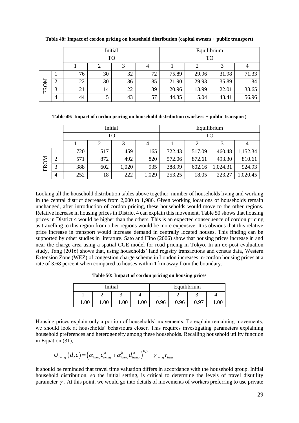|      |   |    |    | Initial |    | Equilibrium |       |       |       |
|------|---|----|----|---------|----|-------------|-------|-------|-------|
|      |   |    | TO |         |    | TO          |       |       |       |
|      |   |    |    |         |    |             |       |       |       |
|      |   | 76 | 30 | 32      | 72 | 75.89       | 29.96 | 31.98 | 71.33 |
| FROM |   | 22 | 30 | 36      | 85 | 21.90       | 29.93 | 35.89 | 84    |
|      | 3 | 21 | 14 | 22      | 39 | 20.96       | 13.99 | 22.01 | 38.65 |
|      | 4 | 44 |    | 43      | 57 | 44.35       | 5.04  | 43.41 | 56.96 |

**Table 48: Impact of cordon pricing on household distribution (capital owners + public transport)**

**Table 49: Impact of cordon pricing on household distribution (workers + public transport)**

|      |   |     |     | Initial |       | Equilibrium |        |          |          |  |
|------|---|-----|-----|---------|-------|-------------|--------|----------|----------|--|
|      |   |     | TO  |         |       | TO          |        |          |          |  |
|      |   |     |     | 3       |       |             |        |          |          |  |
|      |   | 720 | 517 | 459     | 1,165 | 722.43      | 517.09 | 460.48   | 1,152.34 |  |
|      | 2 | 571 | 872 | 492     | 820   | 572.06      | 872.61 | 493.30   | 810.61   |  |
| FROM | 3 | 388 | 602 | 1,020   | 935   | 388.99      | 602.16 | 1,024.31 | 924.93   |  |
|      | 4 | 252 | 18  | 222     | 1,029 | 253.25      | 18.05  | 223.27   | 1,020.45 |  |

Looking all the household distribution tables above together, number of households living and working in the central district decreases from 2,000 to 1,986. Given working locations of households remain unchanged, after introduction of cordon pricing, these households would move to the other regions. Relative increase in housing prices in District 4 can explain this movement. Table 50 shows that housing prices in District 4 would be higher than the others. This is an expected consequence of cordon pricing as travelling to this region from other regions would be more expensive. It is obvious that this relative price increase in transport would increase demand in centrally located houses. This finding can be supported by other studies in literature. Sato and Hino (2006) show that housing prices increase in and near the charge area using a spatial CGE model for road pricing in Tokyo. In an ex-post evaluation study, Tang (2016) shows that, using households' land registry transactions and census data, Western Extension Zone (WEZ) of congestion charge scheme in London increases in-cordon housing prices at a rate of 3.68 percent when compared to houses within 1 km away from the boundary.

**Table 50: Impact of cordon pricing on housing prices**

|      |      | Initial |       |      | Equilibrium |      |  |
|------|------|---------|-------|------|-------------|------|--|
|      |      |         |       |      |             |      |  |
| 1.00 | 1.00 | 1.00    | 0.001 | 0.96 | 0.96        | 0.97 |  |

Housing prices explain only a portion of households' movements. To explain remaining movements, we should look at households' behaviours closer. This requires investigating parameters explaining household preferences and heterogeneity among these households. Recalling household utility function in Equation (31),

$$
U_{i w m g}\left(d, c\right) = \left(\alpha_{i w m g} c^{\rho}_{i w m g} + \alpha^{h}_{i w m g} d^{\rho}_{i w m g}\right)^{1/\rho} - \gamma_{i w m g} \tau_{i w m}
$$

it should be reminded that travel time valuation differs in accordance with the household group. Initial household distribution, so the initial setting, is critical to determine the levels of travel disutility parameter  $\gamma$ . At this point, we would go into details of movements of workers preferring to use private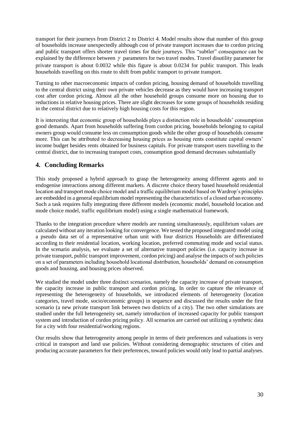transport for their journeys from District 2 to District 4. Model results show that number of this group of households increase unexpectedly although cost of private transport increases due to cordon pricing and public transport offers shorter travel times for their journeys. This "subtler" consequence can be explained by the difference between  $\gamma$  parameters for two travel modes. Travel disutility parameter for private transport is about 0.0032 while this figure is about 0.0234 for public transport. This leads households travelling on this route to shift from public transport to private transport.

Turning to other macroeconomic impacts of cordon pricing, housing demand of households travelling to the central district using their own private vehicles decrease as they would have increasing transport cost after cordon pricing. Almost all the other household groups consume more on housing due to reductions in relative housing prices. There are slight decreases for some groups of households residing in the central district due to relatively high housing costs for this region.

It is interesting that economic group of households plays a distinction role in households' consumption good demands. Apart from households suffering from cordon pricing, households belonging to capital owners group would consume less on consumption goods while the other group of households consume more. This can be attributed to decreasing housing prices as housing rents constitute capital owners' income budget besides rents obtained for business capitals. For private transport users travelling to the central district, due to increasing transport costs, consumption good demand decreases substantially

# **4. Concluding Remarks**

This study proposed a hybrid approach to grasp the heterogeneity among different agents and to endogenise interactions among different markets. A discrete choice theory based household residential location and transport mode choice model and a traffic equilibrium model based on Wardrop's principles are embedded in a general equilibrium model representing the characteristics of a closed urban economy. Such a task requires fully integrating three different models (economic model, household location and mode choice model, traffic equilibrium model) using a single mathematical framework.

Thanks to the integration procedure where models are running simultaneously, equilibrium values are calculated without any iteration looking for convergence. We tested the proposed integrated model using a pseudo data set of a representative urban unit with four districts Households are differentiated according to their residential location, working location, preferred commuting mode and social status. In the scenario analysis, we evaluate a set of alternative transport policies (i.e. capacity increase in private transport, public transport improvement, cordon pricing) and analyse the impacts of such policies on a set of parameters including household locational distribution, households' demand on consumption goods and housing, and housing prices observed.

We studied the model under three distinct scenarios, namely the capacity increase of private transport, the capacity increase in public transport and cordon pricing. In order to capture the relevance of representing the heterogeneity of households, we introduced elements of heterogeneity (location categories, travel mode, socio/economic groups) in sequence and discussed the results under the first scenario (a new private transport link between two districts of a city). The two other simulations are studied under the full heterogeneity set, namely introduction of increased capacity for public transport system and introduction of cordon pricing policy. All scenarios are carried out utilizing a synthetic data for a city with four residential/working regions.

Our results show that heterogeneity among people in terms of their preferences and valuations is very critical in transport and land use policies. Without considering demographic structures of cities and producing accurate parameters for their preferences, toward policies would only lead to partial analyses.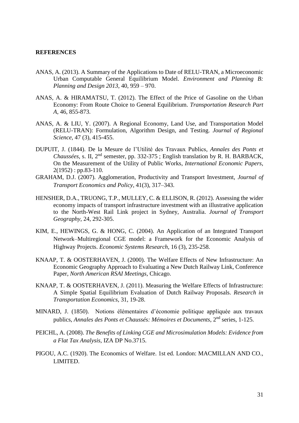#### **REFERENCES**

- ANAS, A. (2013). A Summary of the Applications to Date of RELU-TRAN, a Microeconomic Urban Computable General Equilibrium Model. *Environment and Planning B: Planning and Design 2013*, 40, 959 – 970.
- ANAS, A. & HIRAMATSU, T. (2012). The Effect of the Price of Gasoline on the Urban Economy: From Route Choice to General Equilibrium. *Transportation Research Part A*, 46, 855-873.
- ANAS, A. & LIU, Y. (2007). A Regional Economy, Land Use, and Transportation Model (RELU-TRAN): Formulation, Algorithm Design, and Testing. *Journal of Regional Science*, 47 (3), 415-455.
- DUPUIT, J. (1844). De la Mesure de l'Utilité des Travaux Publics, *Annales des Ponts et Chaussées*, s. II, 2nd semester, pp. 332-375 ; English translation by R. H. BARBACK, On the Measurement of the Utility of Public Works, *International Economic Papers*,  $2(1952)$ : pp.83-110.
- GRAHAM, D.J. (2007). Agglomeration, Productivity and Transport Investment, *Journal of Transport Economics and Policy*, 41(3), 317–343.
- HENSHER, D.A., TRUONG, T.P., MULLEY, C. & ELLISON, R. (2012). Assessing the wider economy impacts of transport infrastructure investment with an illustrative application to the North-West Rail Link project in Sydney, Australia. *Journal of Transport Geography*, 24, 292-305.
- KIM, E., HEWINGS, G. & HONG, C. (2004). An Application of an Integrated Transport Network–Multiregional CGE model: a Framework for the Economic Analysis of Highway Projects. *Economic Systems Research*, 16 (3), 235-258.
- KNAAP, T. & OOSTERHAVEN, J. (2000). The Welfare Effects of New Infrastructure: An Economic Geography Approach to Evaluating a New Dutch Railway Link, Conference Paper, *North American RSAI Meetings*, Chicago.
- KNAAP, T. & OOSTERHAVEN, J. (2011). Measuring the Welfare Effects of Infrastructure: A Simple Spatial Equilibrium Evaluation of Dutch Railway Proposals. *Research in Transportation Economics*, 31, 19-28.
- MINARD, J. (1850). Notions élémentaires d'économie politique appliquée aux travaux publics, Annales des Ponts et Chaussés: Mémoires et Documents, 2<sup>nd</sup> series, 1-125.
- PEICHL, A. (2008). *The Benefits of Linking CGE and Microsimulation Models: Evidence from a Flat Tax Analysis*, IZA DP No.3715.
- PIGOU, A.C. (1920). The Economics of Welfare. 1st ed. London: MACMILLAN AND CO., LIMITED.